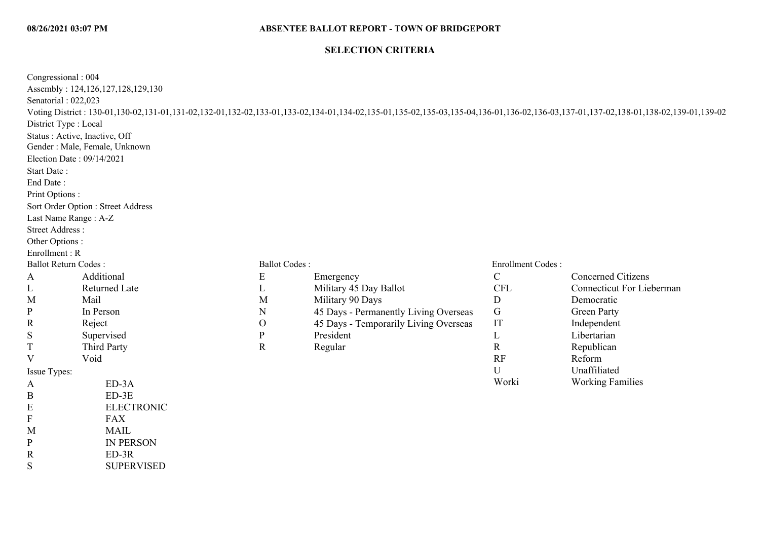## **SELECTION CRITERIA**

| Congressional: 004<br>Senatorial: 022,023<br>District Type : Local<br>Election Date: 09/14/2021<br>Start Date:<br>End Date:<br>Print Options:<br>Last Name Range: A-Z<br><b>Street Address:</b><br>Other Options:<br>Enrollment: R | Assembly: 124,126,127,128,129,130<br>Status: Active, Inactive, Off<br>Gender : Male, Female, Unknown<br>Sort Order Option : Street Address |                      | Voting District: 130-01,130-02,131-01,131-02,132-01,132-02,133-01,133-02,134-01,134-02,135-01,135-02,135-03,135-04,136-01,136-02,136-03,137-01,137-02,138-01,138-02,139-01,139-02 |                   |                                  |
|------------------------------------------------------------------------------------------------------------------------------------------------------------------------------------------------------------------------------------|--------------------------------------------------------------------------------------------------------------------------------------------|----------------------|-----------------------------------------------------------------------------------------------------------------------------------------------------------------------------------|-------------------|----------------------------------|
| <b>Ballot Return Codes:</b>                                                                                                                                                                                                        |                                                                                                                                            | <b>Ballot Codes:</b> |                                                                                                                                                                                   | Enrollment Codes: |                                  |
| A                                                                                                                                                                                                                                  | Additional                                                                                                                                 | E                    | Emergency                                                                                                                                                                         | $\mathcal{C}$     | <b>Concerned Citizens</b>        |
|                                                                                                                                                                                                                                    | <b>Returned Late</b>                                                                                                                       | L                    | Military 45 Day Ballot                                                                                                                                                            | <b>CFL</b>        | <b>Connecticut For Lieberman</b> |
| L<br>M                                                                                                                                                                                                                             | Mail                                                                                                                                       | M                    | Military 90 Days                                                                                                                                                                  | $\mathbf D$       | Democratic                       |
| P                                                                                                                                                                                                                                  | In Person                                                                                                                                  | $\mathbf N$          | 45 Days - Permanently Living Overseas                                                                                                                                             | G                 | <b>Green Party</b>               |
|                                                                                                                                                                                                                                    |                                                                                                                                            | $\mathcal{O}$        | 45 Days - Temporarily Living Overseas                                                                                                                                             | IT                |                                  |
| R<br>S                                                                                                                                                                                                                             | Reject<br>Supervised                                                                                                                       | ${\bf P}$            | President                                                                                                                                                                         | L                 | Independent<br>Libertarian       |
| T                                                                                                                                                                                                                                  | <b>Third Party</b>                                                                                                                         | $\mathbf R$          |                                                                                                                                                                                   | $\mathbf R$       | Republican                       |
| V                                                                                                                                                                                                                                  | Void                                                                                                                                       |                      | Regular                                                                                                                                                                           | RF                | Reform                           |
|                                                                                                                                                                                                                                    |                                                                                                                                            |                      |                                                                                                                                                                                   | U                 | Unaffiliated                     |
| Issue Types:                                                                                                                                                                                                                       |                                                                                                                                            |                      |                                                                                                                                                                                   | Worki             | <b>Working Families</b>          |
| A                                                                                                                                                                                                                                  | ED-3A                                                                                                                                      |                      |                                                                                                                                                                                   |                   |                                  |
| B                                                                                                                                                                                                                                  | $ED-3E$                                                                                                                                    |                      |                                                                                                                                                                                   |                   |                                  |
| E                                                                                                                                                                                                                                  | <b>ELECTRONIC</b>                                                                                                                          |                      |                                                                                                                                                                                   |                   |                                  |
| F                                                                                                                                                                                                                                  | <b>FAX</b>                                                                                                                                 |                      |                                                                                                                                                                                   |                   |                                  |
| M                                                                                                                                                                                                                                  | <b>MAIL</b>                                                                                                                                |                      |                                                                                                                                                                                   |                   |                                  |
| P                                                                                                                                                                                                                                  | <b>IN PERSON</b>                                                                                                                           |                      |                                                                                                                                                                                   |                   |                                  |
| R                                                                                                                                                                                                                                  | $ED-3R$                                                                                                                                    |                      |                                                                                                                                                                                   |                   |                                  |
| S                                                                                                                                                                                                                                  | <b>SUPERVISED</b>                                                                                                                          |                      |                                                                                                                                                                                   |                   |                                  |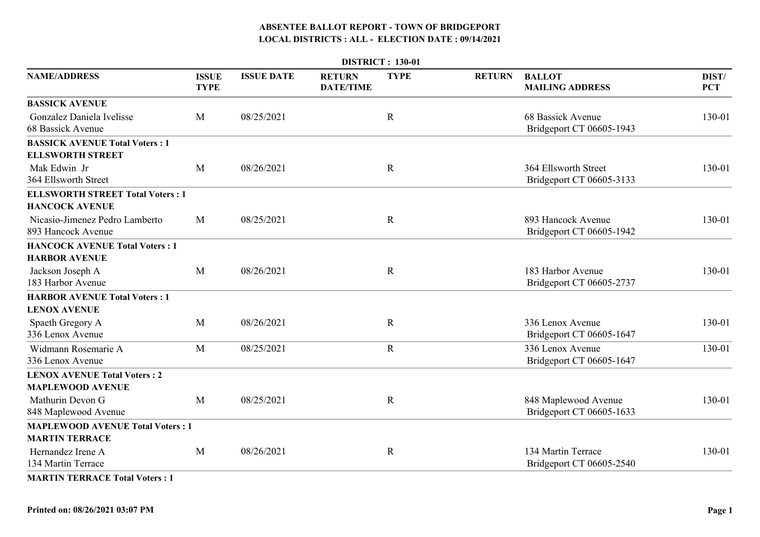|                                                                  | <b>DISTRICT: 130-01</b>     |                   |                                   |             |               |                                                  |                     |  |  |  |  |
|------------------------------------------------------------------|-----------------------------|-------------------|-----------------------------------|-------------|---------------|--------------------------------------------------|---------------------|--|--|--|--|
| <b>NAME/ADDRESS</b>                                              | <b>ISSUE</b><br><b>TYPE</b> | <b>ISSUE DATE</b> | <b>RETURN</b><br><b>DATE/TIME</b> | <b>TYPE</b> | <b>RETURN</b> | <b>BALLOT</b><br><b>MAILING ADDRESS</b>          | DIST/<br><b>PCT</b> |  |  |  |  |
| <b>BASSICK AVENUE</b>                                            |                             |                   |                                   |             |               |                                                  |                     |  |  |  |  |
| Gonzalez Daniela Ivelisse<br>68 Bassick Avenue                   | M                           | 08/25/2021        |                                   | $\mathbf R$ |               | 68 Bassick Avenue<br>Bridgeport CT 06605-1943    | 130-01              |  |  |  |  |
| <b>BASSICK AVENUE Total Voters: 1</b><br><b>ELLSWORTH STREET</b> |                             |                   |                                   |             |               |                                                  |                     |  |  |  |  |
| Mak Edwin Jr<br>364 Ellsworth Street                             | M                           | 08/26/2021        |                                   | $\mathbf R$ |               | 364 Ellsworth Street<br>Bridgeport CT 06605-3133 | 130-01              |  |  |  |  |
| <b>ELLSWORTH STREET Total Voters: 1</b><br><b>HANCOCK AVENUE</b> |                             |                   |                                   |             |               |                                                  |                     |  |  |  |  |
| Nicasio-Jimenez Pedro Lamberto<br>893 Hancock Avenue             | M                           | 08/25/2021        |                                   | $\mathbf R$ |               | 893 Hancock Avenue<br>Bridgeport CT 06605-1942   | 130-01              |  |  |  |  |
| <b>HANCOCK AVENUE Total Voters: 1</b><br><b>HARBOR AVENUE</b>    |                             |                   |                                   |             |               |                                                  |                     |  |  |  |  |
| Jackson Joseph A<br>183 Harbor Avenue                            | M                           | 08/26/2021        |                                   | $\mathbf R$ |               | 183 Harbor Avenue<br>Bridgeport CT 06605-2737    | 130-01              |  |  |  |  |
| <b>HARBOR AVENUE Total Voters: 1</b>                             |                             |                   |                                   |             |               |                                                  |                     |  |  |  |  |
| <b>LENOX AVENUE</b>                                              |                             |                   |                                   |             |               |                                                  |                     |  |  |  |  |
| Spaeth Gregory A<br>336 Lenox Avenue                             | M                           | 08/26/2021        |                                   | $\mathbf R$ |               | 336 Lenox Avenue<br>Bridgeport CT 06605-1647     | 130-01              |  |  |  |  |
| Widmann Rosemarie A<br>336 Lenox Avenue                          | M                           | 08/25/2021        |                                   | $\mathbf R$ |               | 336 Lenox Avenue<br>Bridgeport CT 06605-1647     | 130-01              |  |  |  |  |
| <b>LENOX AVENUE Total Voters: 2</b>                              |                             |                   |                                   |             |               |                                                  |                     |  |  |  |  |
| <b>MAPLEWOOD AVENUE</b>                                          |                             |                   |                                   |             |               |                                                  |                     |  |  |  |  |
| Mathurin Devon G<br>848 Maplewood Avenue                         | M                           | 08/25/2021        |                                   | $\mathbf R$ |               | 848 Maplewood Avenue<br>Bridgeport CT 06605-1633 | 130-01              |  |  |  |  |
| <b>MAPLEWOOD AVENUE Total Voters: 1</b>                          |                             |                   |                                   |             |               |                                                  |                     |  |  |  |  |
| <b>MARTIN TERRACE</b>                                            |                             |                   |                                   |             |               |                                                  |                     |  |  |  |  |
| Hernandez Irene A<br>134 Martin Terrace                          | M                           | 08/26/2021        |                                   | $\mathbf R$ |               | 134 Martin Terrace<br>Bridgeport CT 06605-2540   | 130-01              |  |  |  |  |
|                                                                  |                             |                   |                                   |             |               |                                                  |                     |  |  |  |  |

**MARTIN TERRACE Total Voters : 1**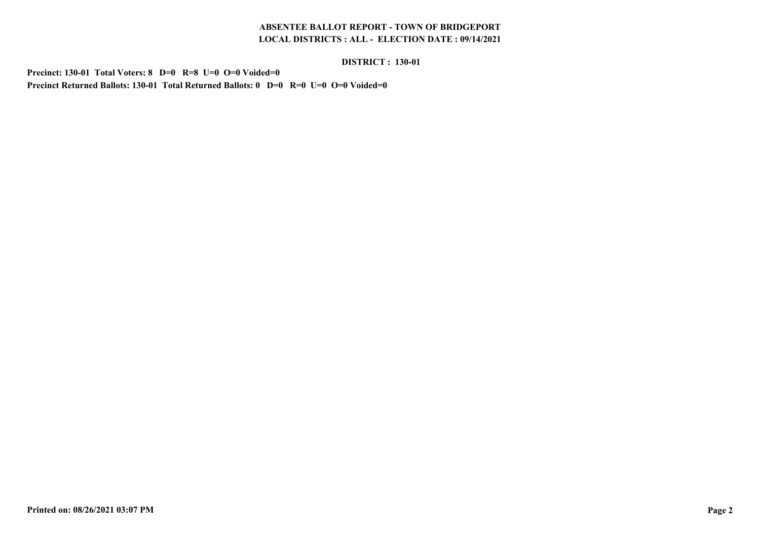#### **DISTRICT : 130-01**

**Precinct: 130-01 Total Voters: 8 D=0 R=8 U=0 O=0 Voided=0Precinct Returned Ballots: 130-01 Total Returned Ballots: 0 D=0 R=0 U=0 O=0 Voided=0**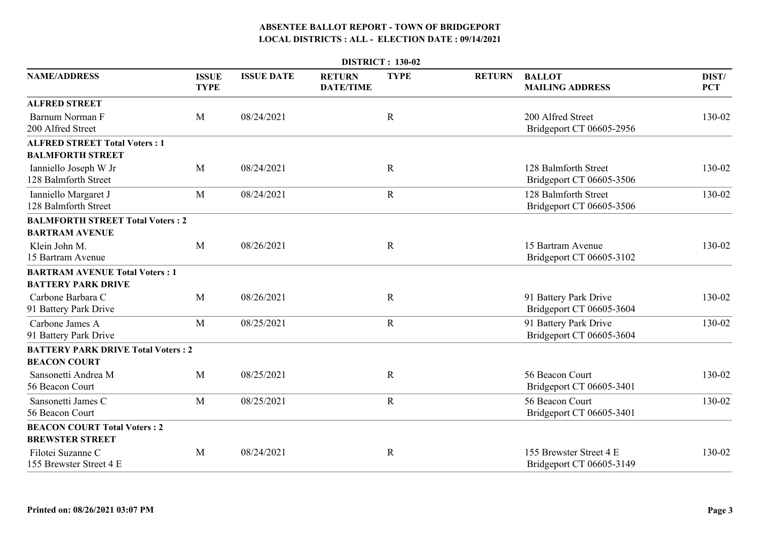|                                                               |                             |                   |                                   | <b>DISTRICT: 130-02</b> |               |                                                     |                     |
|---------------------------------------------------------------|-----------------------------|-------------------|-----------------------------------|-------------------------|---------------|-----------------------------------------------------|---------------------|
| <b>NAME/ADDRESS</b>                                           | <b>ISSUE</b><br><b>TYPE</b> | <b>ISSUE DATE</b> | <b>RETURN</b><br><b>DATE/TIME</b> | <b>TYPE</b>             | <b>RETURN</b> | <b>BALLOT</b><br><b>MAILING ADDRESS</b>             | DIST/<br><b>PCT</b> |
| <b>ALFRED STREET</b>                                          |                             |                   |                                   |                         |               |                                                     |                     |
| Barnum Norman F<br>200 Alfred Street                          | M                           | 08/24/2021        |                                   | $\mathbf R$             |               | 200 Alfred Street<br>Bridgeport CT 06605-2956       | 130-02              |
| <b>ALFRED STREET Total Voters: 1</b>                          |                             |                   |                                   |                         |               |                                                     |                     |
| <b>BALMFORTH STREET</b>                                       |                             |                   |                                   |                         |               |                                                     |                     |
| Ianniello Joseph W Jr<br>128 Balmforth Street                 | M                           | 08/24/2021        |                                   | $\mathbf R$             |               | 128 Balmforth Street<br>Bridgeport CT 06605-3506    | 130-02              |
| Ianniello Margaret J<br>128 Balmforth Street                  | M                           | 08/24/2021        |                                   | $\mathbf R$             |               | 128 Balmforth Street<br>Bridgeport CT 06605-3506    | 130-02              |
| <b>BALMFORTH STREET Total Voters: 2</b>                       |                             |                   |                                   |                         |               |                                                     |                     |
| <b>BARTRAM AVENUE</b>                                         |                             |                   |                                   |                         |               |                                                     |                     |
| Klein John M.<br>15 Bartram Avenue                            | M                           | 08/26/2021        |                                   | $\mathbf R$             |               | 15 Bartram Avenue<br>Bridgeport CT 06605-3102       | 130-02              |
| <b>BARTRAM AVENUE Total Voters: 1</b>                         |                             |                   |                                   |                         |               |                                                     |                     |
| <b>BATTERY PARK DRIVE</b>                                     |                             |                   |                                   |                         |               |                                                     |                     |
| Carbone Barbara C<br>91 Battery Park Drive                    | M                           | 08/26/2021        |                                   | $\mathbf R$             |               | 91 Battery Park Drive<br>Bridgeport CT 06605-3604   | 130-02              |
| Carbone James A<br>91 Battery Park Drive                      | M                           | 08/25/2021        |                                   | $\mathbf R$             |               | 91 Battery Park Drive<br>Bridgeport CT 06605-3604   | 130-02              |
| <b>BATTERY PARK DRIVE Total Voters: 2</b>                     |                             |                   |                                   |                         |               |                                                     |                     |
| <b>BEACON COURT</b>                                           |                             |                   |                                   |                         |               |                                                     |                     |
| Sansonetti Andrea M<br>56 Beacon Court                        | M                           | 08/25/2021        |                                   | $\mathbf R$             |               | 56 Beacon Court<br>Bridgeport CT 06605-3401         | 130-02              |
| Sansonetti James C<br>56 Beacon Court                         | M                           | 08/25/2021        |                                   | $\mathbf R$             |               | 56 Beacon Court<br>Bridgeport CT 06605-3401         | 130-02              |
| <b>BEACON COURT Total Voters: 2</b><br><b>BREWSTER STREET</b> |                             |                   |                                   |                         |               |                                                     |                     |
| Filotei Suzanne C<br>155 Brewster Street 4 E                  | M                           | 08/24/2021        |                                   | $\mathbf R$             |               | 155 Brewster Street 4 E<br>Bridgeport CT 06605-3149 | 130-02              |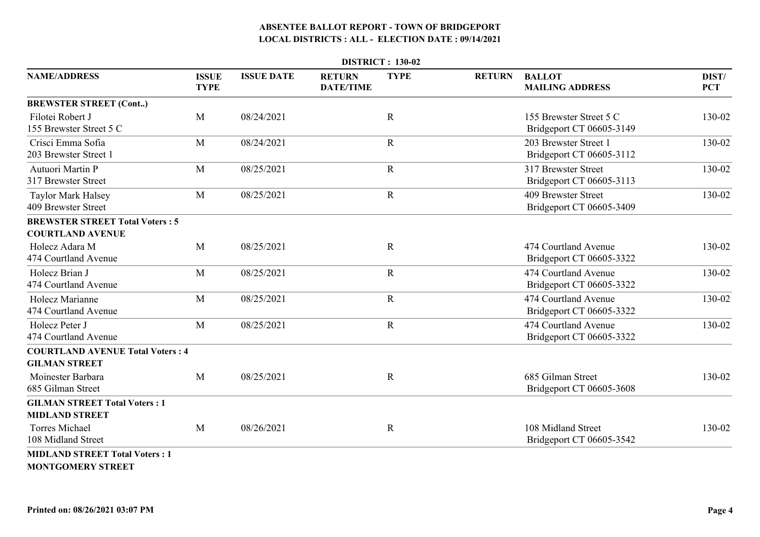|                                                                   |                             |                   |                                   | <b>DISTRICT: 130-02</b> |               |                                                     |                     |
|-------------------------------------------------------------------|-----------------------------|-------------------|-----------------------------------|-------------------------|---------------|-----------------------------------------------------|---------------------|
| <b>NAME/ADDRESS</b>                                               | <b>ISSUE</b><br><b>TYPE</b> | <b>ISSUE DATE</b> | <b>RETURN</b><br><b>DATE/TIME</b> | <b>TYPE</b>             | <b>RETURN</b> | <b>BALLOT</b><br><b>MAILING ADDRESS</b>             | DIST/<br><b>PCT</b> |
| <b>BREWSTER STREET (Cont)</b>                                     |                             |                   |                                   |                         |               |                                                     |                     |
| Filotei Robert J<br>155 Brewster Street 5 C                       | M                           | 08/24/2021        |                                   | $\mathbf R$             |               | 155 Brewster Street 5 C<br>Bridgeport CT 06605-3149 | 130-02              |
| Crisci Emma Sofia<br>203 Brewster Street 1                        | M                           | 08/24/2021        |                                   | $\mathbf R$             |               | 203 Brewster Street 1<br>Bridgeport CT 06605-3112   | 130-02              |
| Autuori Martin P<br>317 Brewster Street                           | M                           | 08/25/2021        |                                   | $\mathbf R$             |               | 317 Brewster Street<br>Bridgeport CT 06605-3113     | 130-02              |
| <b>Taylor Mark Halsey</b><br>409 Brewster Street                  | M                           | 08/25/2021        |                                   | $\mathbf R$             |               | 409 Brewster Street<br>Bridgeport CT 06605-3409     | 130-02              |
| <b>BREWSTER STREET Total Voters: 5</b><br><b>COURTLAND AVENUE</b> |                             |                   |                                   |                         |               |                                                     |                     |
| Holecz Adara M<br>474 Courtland Avenue                            | M                           | 08/25/2021        |                                   | $\mathbf R$             |               | 474 Courtland Avenue<br>Bridgeport CT 06605-3322    | 130-02              |
| Holecz Brian J<br>474 Courtland Avenue                            | M                           | 08/25/2021        |                                   | $\mathbf R$             |               | 474 Courtland Avenue<br>Bridgeport CT 06605-3322    | 130-02              |
| Holecz Marianne<br>474 Courtland Avenue                           | M                           | 08/25/2021        |                                   | $\mathbf R$             |               | 474 Courtland Avenue<br>Bridgeport CT 06605-3322    | 130-02              |
| Holecz Peter J<br>474 Courtland Avenue                            | M                           | 08/25/2021        |                                   | $\mathbf R$             |               | 474 Courtland Avenue<br>Bridgeport CT 06605-3322    | 130-02              |
| <b>COURTLAND AVENUE Total Voters: 4</b>                           |                             |                   |                                   |                         |               |                                                     |                     |
| <b>GILMAN STREET</b>                                              |                             |                   |                                   |                         |               |                                                     |                     |
| Moinester Barbara<br>685 Gilman Street                            | M                           | 08/25/2021        |                                   | $\mathbf R$             |               | 685 Gilman Street<br>Bridgeport CT 06605-3608       | 130-02              |
| <b>GILMAN STREET Total Voters: 1</b><br><b>MIDLAND STREET</b>     |                             |                   |                                   |                         |               |                                                     |                     |
| <b>Torres Michael</b><br>108 Midland Street                       | M                           | 08/26/2021        |                                   | $\mathbf R$             |               | 108 Midland Street<br>Bridgeport CT 06605-3542      | 130-02              |
| <b>MIDLAND STREET Total Voters: 1</b>                             |                             |                   |                                   |                         |               |                                                     |                     |

**MONTGOMERY STREET**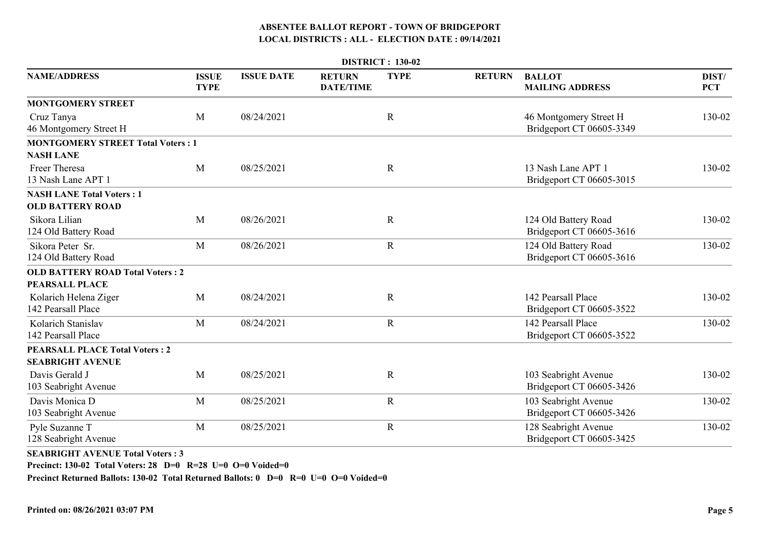|                                                             | DISTRICT: 130-02            |                   |                                   |             |               |                                                    |                     |  |  |  |  |
|-------------------------------------------------------------|-----------------------------|-------------------|-----------------------------------|-------------|---------------|----------------------------------------------------|---------------------|--|--|--|--|
| <b>NAME/ADDRESS</b>                                         | <b>ISSUE</b><br><b>TYPE</b> | <b>ISSUE DATE</b> | <b>RETURN</b><br><b>DATE/TIME</b> | <b>TYPE</b> | <b>RETURN</b> | <b>BALLOT</b><br><b>MAILING ADDRESS</b>            | DIST/<br><b>PCT</b> |  |  |  |  |
| <b>MONTGOMERY STREET</b>                                    |                             |                   |                                   |             |               |                                                    |                     |  |  |  |  |
| Cruz Tanya<br>46 Montgomery Street H                        | M                           | 08/24/2021        |                                   | $\mathbf R$ |               | 46 Montgomery Street H<br>Bridgeport CT 06605-3349 | 130-02              |  |  |  |  |
| <b>MONTGOMERY STREET Total Voters: 1</b>                    |                             |                   |                                   |             |               |                                                    |                     |  |  |  |  |
| <b>NASH LANE</b>                                            |                             |                   |                                   |             |               |                                                    |                     |  |  |  |  |
| Freer Theresa<br>13 Nash Lane APT 1                         | M                           | 08/25/2021        |                                   | $\mathbf R$ |               | 13 Nash Lane APT 1<br>Bridgeport CT 06605-3015     | 130-02              |  |  |  |  |
| <b>NASH LANE Total Voters: 1</b><br><b>OLD BATTERY ROAD</b> |                             |                   |                                   |             |               |                                                    |                     |  |  |  |  |
| Sikora Lilian<br>124 Old Battery Road                       | M                           | 08/26/2021        |                                   | $\mathbf R$ |               | 124 Old Battery Road<br>Bridgeport CT 06605-3616   | 130-02              |  |  |  |  |
| Sikora Peter Sr.<br>124 Old Battery Road                    | M                           | 08/26/2021        |                                   | $\mathbf R$ |               | 124 Old Battery Road<br>Bridgeport CT 06605-3616   | 130-02              |  |  |  |  |
| <b>OLD BATTERY ROAD Total Voters: 2</b>                     |                             |                   |                                   |             |               |                                                    |                     |  |  |  |  |
| <b>PEARSALL PLACE</b>                                       |                             |                   |                                   |             |               |                                                    |                     |  |  |  |  |
| Kolarich Helena Ziger<br>142 Pearsall Place                 | M                           | 08/24/2021        |                                   | $\mathbf R$ |               | 142 Pearsall Place<br>Bridgeport CT 06605-3522     | 130-02              |  |  |  |  |
| Kolarich Stanislav<br>142 Pearsall Place                    | M                           | 08/24/2021        |                                   | $\mathbf R$ |               | 142 Pearsall Place<br>Bridgeport CT 06605-3522     | 130-02              |  |  |  |  |
| <b>PEARSALL PLACE Total Voters: 2</b>                       |                             |                   |                                   |             |               |                                                    |                     |  |  |  |  |
| <b>SEABRIGHT AVENUE</b>                                     |                             |                   |                                   |             |               |                                                    |                     |  |  |  |  |
| Davis Gerald J<br>103 Seabright Avenue                      | M                           | 08/25/2021        |                                   | $\mathbf R$ |               | 103 Seabright Avenue<br>Bridgeport CT 06605-3426   | 130-02              |  |  |  |  |
| Davis Monica D<br>103 Seabright Avenue                      | M                           | 08/25/2021        |                                   | $\mathbf R$ |               | 103 Seabright Avenue<br>Bridgeport CT 06605-3426   | 130-02              |  |  |  |  |
| Pyle Suzanne T<br>128 Seabright Avenue                      | M                           | 08/25/2021        |                                   | $\mathbf R$ |               | 128 Seabright Avenue<br>Bridgeport CT 06605-3425   | 130-02              |  |  |  |  |

**SEABRIGHT AVENUE Total Voters : 3**

**Precinct: 130-02 Total Voters: 28 D=0 R=28 U=0 O=0 Voided=0**

**Precinct Returned Ballots: 130-02 Total Returned Ballots: 0 D=0 R=0 U=0 O=0 Voided=0**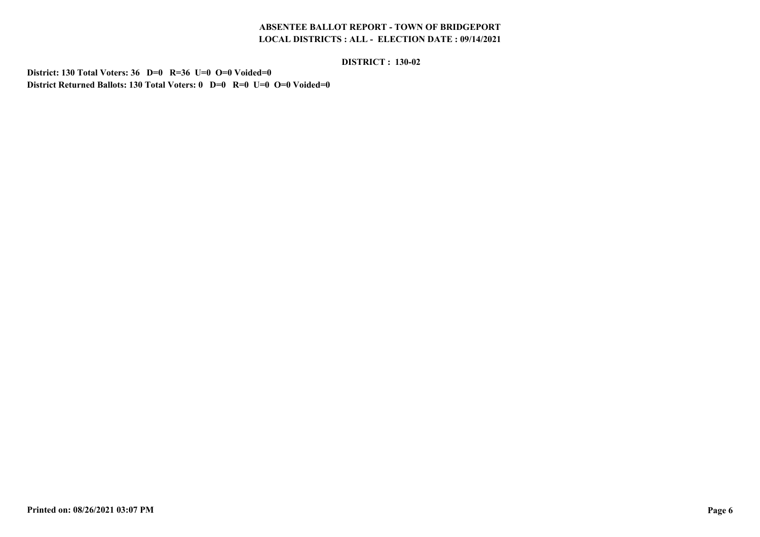#### **DISTRICT : 130-02**

**District: 130 Total Voters: 36 D=0 R=36 U=0 O=0 Voided=0District Returned Ballots: 130 Total Voters: 0 D=0 R=0 U=0 O=0 Voided=0**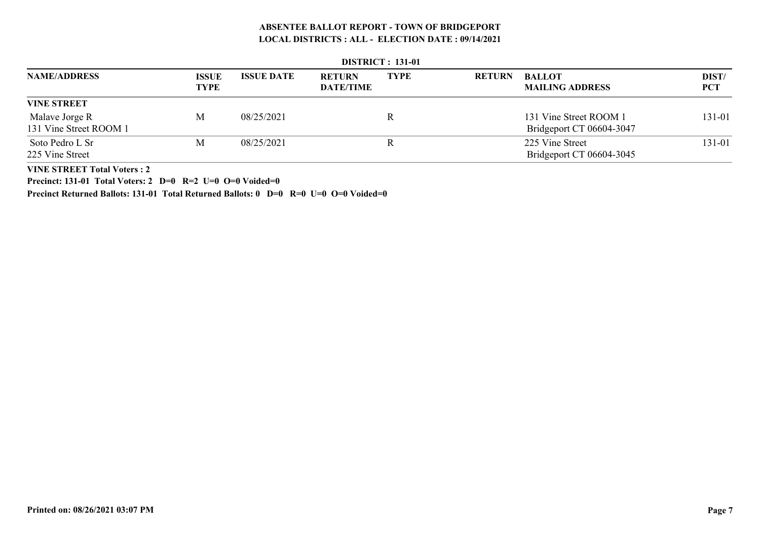|                                          | <b>DISTRICT : 131-01</b>    |                   |                                   |             |               |                                                    |              |  |  |  |  |
|------------------------------------------|-----------------------------|-------------------|-----------------------------------|-------------|---------------|----------------------------------------------------|--------------|--|--|--|--|
| <b>NAME/ADDRESS</b>                      | <b>ISSUE</b><br><b>TYPE</b> | <b>ISSUE DATE</b> | <b>RETURN</b><br><b>DATE/TIME</b> | <b>TYPE</b> | <b>RETURN</b> | <b>BALLOT</b><br><b>MAILING ADDRESS</b>            | DIST/<br>PCT |  |  |  |  |
| <b>VINE STREET</b>                       |                             |                   |                                   |             |               |                                                    |              |  |  |  |  |
| Malave Jorge R<br>131 Vine Street ROOM 1 | M                           | 08/25/2021        |                                   | R           |               | 131 Vine Street ROOM 1<br>Bridgeport CT 06604-3047 | 131-01       |  |  |  |  |
| Soto Pedro L Sr<br>225 Vine Street       | M                           | 08/25/2021        |                                   | R           |               | 225 Vine Street<br>Bridgeport CT 06604-3045        | 131-01       |  |  |  |  |

 **DISTRICT : 131-01**

**VINE STREET Total Voters : 2**

**Precinct: 131-01 Total Voters: 2 D=0 R=2 U=0 O=0 Voided=0**

**Precinct Returned Ballots: 131-01 Total Returned Ballots: 0 D=0 R=0 U=0 O=0 Voided=0**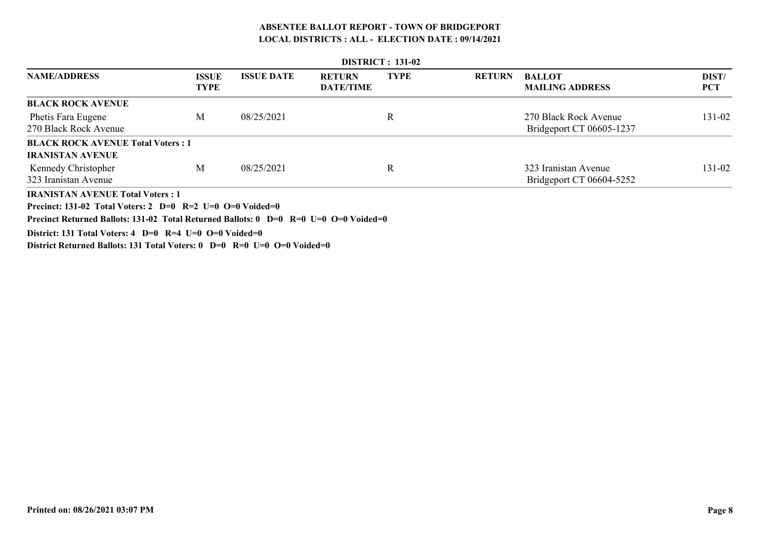|                                          |                             |                   |                                   | <b>DISTRICT : 131-02</b> |               |                                         |                     |
|------------------------------------------|-----------------------------|-------------------|-----------------------------------|--------------------------|---------------|-----------------------------------------|---------------------|
| <b>NAME/ADDRESS</b>                      | <b>ISSUE</b><br><b>TYPE</b> | <b>ISSUE DATE</b> | <b>RETURN</b><br><b>DATE/TIME</b> | <b>TYPE</b>              | <b>RETURN</b> | <b>BALLOT</b><br><b>MAILING ADDRESS</b> | DIST/<br><b>PCT</b> |
| <b>BLACK ROCK AVENUE</b>                 |                             |                   |                                   |                          |               |                                         |                     |
| Phetis Fara Eugene                       | М                           | 08/25/2021        |                                   | R                        |               | 270 Black Rock Avenue                   | 131-02              |
| 270 Black Rock Avenue                    |                             |                   |                                   |                          |               | Bridgeport CT 06605-1237                |                     |
| <b>BLACK ROCK AVENUE Total Voters: 1</b> |                             |                   |                                   |                          |               |                                         |                     |
| <b>IRANISTAN AVENUE</b>                  |                             |                   |                                   |                          |               |                                         |                     |
| Kennedy Christopher                      | M                           | 08/25/2021        |                                   | $\mathbf R$              |               | 323 Iranistan Avenue                    | 131-02              |
| 323 Iranistan Avenue                     |                             |                   |                                   |                          |               | Bridgeport CT 06604-5252                |                     |
| <b>IRANISTAN AVENUE Total Voters: 1</b>  |                             |                   |                                   |                          |               |                                         |                     |

**Precinct: 131-02 Total Voters: 2 D=0 R=2 U=0 O=0 Voided=0**

**Precinct Returned Ballots: 131-02 Total Returned Ballots: 0 D=0 R=0 U=0 O=0 Voided=0**

**District: 131 Total Voters: 4 D=0 R=4 U=0 O=0 Voided=0**

**District Returned Ballots: 131 Total Voters: 0 D=0 R=0 U=0 O=0 Voided=0**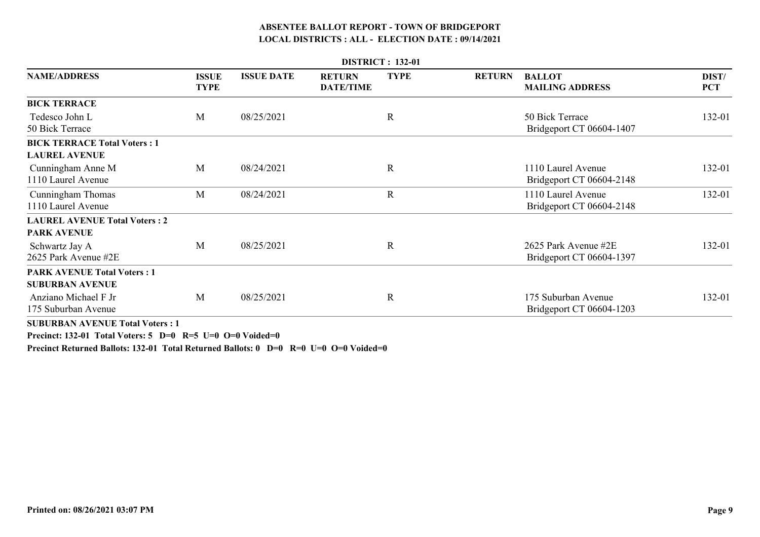|                                                              |                             |                   |                                   | <b>DISTRICT: 132-01</b> |               |                                                  |                     |
|--------------------------------------------------------------|-----------------------------|-------------------|-----------------------------------|-------------------------|---------------|--------------------------------------------------|---------------------|
| <b>NAME/ADDRESS</b>                                          | <b>ISSUE</b><br><b>TYPE</b> | <b>ISSUE DATE</b> | <b>RETURN</b><br><b>DATE/TIME</b> | <b>TYPE</b>             | <b>RETURN</b> | <b>BALLOT</b><br><b>MAILING ADDRESS</b>          | DIST/<br><b>PCT</b> |
| <b>BICK TERRACE</b>                                          |                             |                   |                                   |                         |               |                                                  |                     |
| Tedesco John L<br>50 Bick Terrace                            | M                           | 08/25/2021        |                                   | $\mathbf R$             |               | 50 Bick Terrace<br>Bridgeport CT 06604-1407      | 132-01              |
| <b>BICK TERRACE Total Voters: 1</b>                          |                             |                   |                                   |                         |               |                                                  |                     |
| <b>LAUREL AVENUE</b>                                         |                             |                   |                                   |                         |               |                                                  |                     |
| Cunningham Anne M<br>1110 Laurel Avenue                      | M                           | 08/24/2021        |                                   | R                       |               | 1110 Laurel Avenue<br>Bridgeport CT 06604-2148   | 132-01              |
| Cunningham Thomas<br>1110 Laurel Avenue                      | M                           | 08/24/2021        |                                   | $\mathbf R$             |               | 1110 Laurel Avenue<br>Bridgeport CT 06604-2148   | 132-01              |
| <b>LAUREL AVENUE Total Voters: 2</b>                         |                             |                   |                                   |                         |               |                                                  |                     |
| <b>PARK AVENUE</b>                                           |                             |                   |                                   |                         |               |                                                  |                     |
| Schwartz Jay A<br>2625 Park Avenue #2E                       | M                           | 08/25/2021        |                                   | R                       |               | 2625 Park Avenue #2E<br>Bridgeport CT 06604-1397 | 132-01              |
| <b>PARK AVENUE Total Voters: 1</b><br><b>SUBURBAN AVENUE</b> |                             |                   |                                   |                         |               |                                                  |                     |
| Anziano Michael F Jr<br>175 Suburban Avenue                  | M                           | 08/25/2021        |                                   | R                       |               | 175 Suburban Avenue<br>Bridgeport CT 06604-1203  | 132-01              |
| <b>SUBURBAN AVENUE Total Voters: 1</b>                       |                             |                   |                                   |                         |               |                                                  |                     |

**Precinct: 132-01 Total Voters: 5 D=0 R=5 U=0 O=0 Voided=0**

**Precinct Returned Ballots: 132-01 Total Returned Ballots: 0 D=0 R=0 U=0 O=0 Voided=0**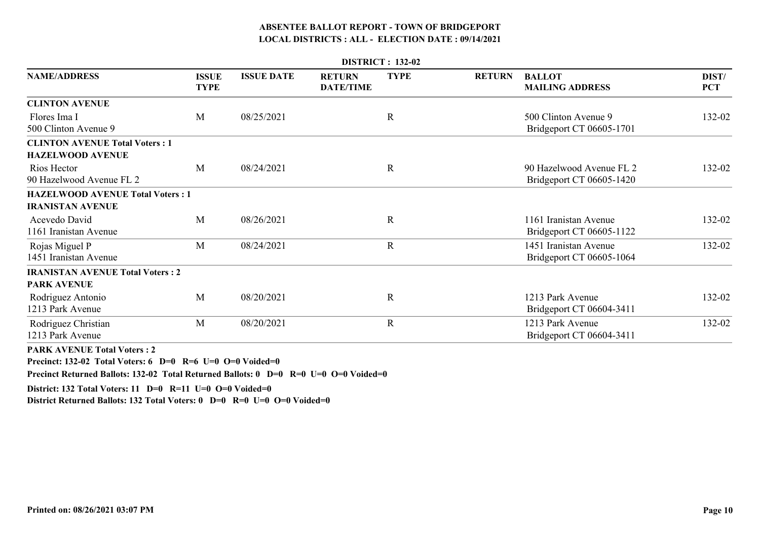| <b>DISTRICT: 132-02</b>                 |                             |                   |                                   |             |               |                                                      |                     |  |  |  |
|-----------------------------------------|-----------------------------|-------------------|-----------------------------------|-------------|---------------|------------------------------------------------------|---------------------|--|--|--|
| <b>NAME/ADDRESS</b>                     | <b>ISSUE</b><br><b>TYPE</b> | <b>ISSUE DATE</b> | <b>RETURN</b><br><b>DATE/TIME</b> | <b>TYPE</b> | <b>RETURN</b> | <b>BALLOT</b><br><b>MAILING ADDRESS</b>              | DIST/<br><b>PCT</b> |  |  |  |
| <b>CLINTON AVENUE</b>                   |                             |                   |                                   |             |               |                                                      |                     |  |  |  |
| Flores Ima I<br>500 Clinton Avenue 9    | M                           | 08/25/2021        |                                   | $\mathbf R$ |               | 500 Clinton Avenue 9<br>Bridgeport CT 06605-1701     | 132-02              |  |  |  |
| <b>CLINTON AVENUE Total Voters: 1</b>   |                             |                   |                                   |             |               |                                                      |                     |  |  |  |
| <b>HAZELWOOD AVENUE</b>                 |                             |                   |                                   |             |               |                                                      |                     |  |  |  |
| Rios Hector<br>90 Hazelwood Avenue FL 2 | M                           | 08/24/2021        |                                   | $\mathbf R$ |               | 90 Hazelwood Avenue FL 2<br>Bridgeport CT 06605-1420 | 132-02              |  |  |  |
| <b>HAZELWOOD AVENUE Total Voters: 1</b> |                             |                   |                                   |             |               |                                                      |                     |  |  |  |
| <b>IRANISTAN AVENUE</b>                 |                             |                   |                                   |             |               |                                                      |                     |  |  |  |
| Acevedo David<br>1161 Iranistan Avenue  | M                           | 08/26/2021        |                                   | $\mathbf R$ |               | 1161 Iranistan Avenue<br>Bridgeport CT 06605-1122    | 132-02              |  |  |  |
| Rojas Miguel P<br>1451 Iranistan Avenue | M                           | 08/24/2021        |                                   | $\mathbf R$ |               | 1451 Iranistan Avenue<br>Bridgeport CT 06605-1064    | 132-02              |  |  |  |
| <b>IRANISTAN AVENUE Total Voters: 2</b> |                             |                   |                                   |             |               |                                                      |                     |  |  |  |
| <b>PARK AVENUE</b>                      |                             |                   |                                   |             |               |                                                      |                     |  |  |  |
| Rodriguez Antonio<br>1213 Park Avenue   | M                           | 08/20/2021        |                                   | $\mathbf R$ |               | 1213 Park Avenue<br>Bridgeport CT 06604-3411         | 132-02              |  |  |  |
| Rodriguez Christian<br>1213 Park Avenue | M                           | 08/20/2021        |                                   | $\mathbf R$ |               | 1213 Park Avenue<br>Bridgeport CT 06604-3411         | 132-02              |  |  |  |

**PARK AVENUE Total Voters : 2**

**Precinct: 132-02 Total Voters: 6 D=0 R=6 U=0 O=0 Voided=0**

**Precinct Returned Ballots: 132-02 Total Returned Ballots: 0 D=0 R=0 U=0 O=0 Voided=0**

**District: 132 Total Voters: 11 D=0 R=11 U=0 O=0 Voided=0**

**District Returned Ballots: 132 Total Voters: 0 D=0 R=0 U=0 O=0 Voided=0**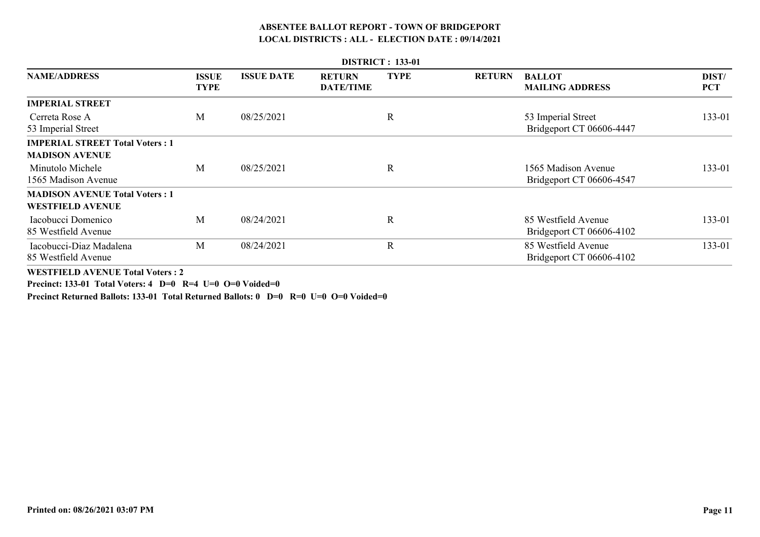| <b>DISTRICT: 133-01</b>                                          |                             |                   |                                   |              |               |                                                 |                     |  |  |  |
|------------------------------------------------------------------|-----------------------------|-------------------|-----------------------------------|--------------|---------------|-------------------------------------------------|---------------------|--|--|--|
| <b>NAME/ADDRESS</b>                                              | <b>ISSUE</b><br><b>TYPE</b> | <b>ISSUE DATE</b> | <b>RETURN</b><br><b>DATE/TIME</b> | <b>TYPE</b>  | <b>RETURN</b> | <b>BALLOT</b><br><b>MAILING ADDRESS</b>         | DIST/<br><b>PCT</b> |  |  |  |
| <b>IMPERIAL STREET</b>                                           |                             |                   |                                   |              |               |                                                 |                     |  |  |  |
| Cerreta Rose A<br>53 Imperial Street                             | М                           | 08/25/2021        |                                   | $\mathbf R$  |               | 53 Imperial Street<br>Bridgeport CT 06606-4447  | 133-01              |  |  |  |
| <b>IMPERIAL STREET Total Voters: 1</b>                           |                             |                   |                                   |              |               |                                                 |                     |  |  |  |
| <b>MADISON AVENUE</b>                                            |                             |                   |                                   |              |               |                                                 |                     |  |  |  |
| Minutolo Michele<br>1565 Madison Avenue                          | M                           | 08/25/2021        |                                   | $\mathbf R$  |               | 1565 Madison Avenue<br>Bridgeport CT 06606-4547 | 133-01              |  |  |  |
| <b>MADISON AVENUE Total Voters: 1</b><br><b>WESTFIELD AVENUE</b> |                             |                   |                                   |              |               |                                                 |                     |  |  |  |
| Iacobucci Domenico<br>85 Westfield Avenue                        | М                           | 08/24/2021        |                                   | $\mathbb{R}$ |               | 85 Westfield Avenue<br>Bridgeport CT 06606-4102 | 133-01              |  |  |  |
| Iacobucci-Diaz Madalena<br>85 Westfield Avenue                   | M                           | 08/24/2021        |                                   | $\mathbf R$  |               | 85 Westfield Avenue<br>Bridgeport CT 06606-4102 | 133-01              |  |  |  |
| WESTELL B AVENILE Tatal Vators : 2                               |                             |                   |                                   |              |               |                                                 |                     |  |  |  |

**WESTFIELD AVENUE Total Voters : 2**

**Precinct: 133-01 Total Voters: 4 D=0 R=4 U=0 O=0 Voided=0**

**Precinct Returned Ballots: 133-01 Total Returned Ballots: 0 D=0 R=0 U=0 O=0 Voided=0**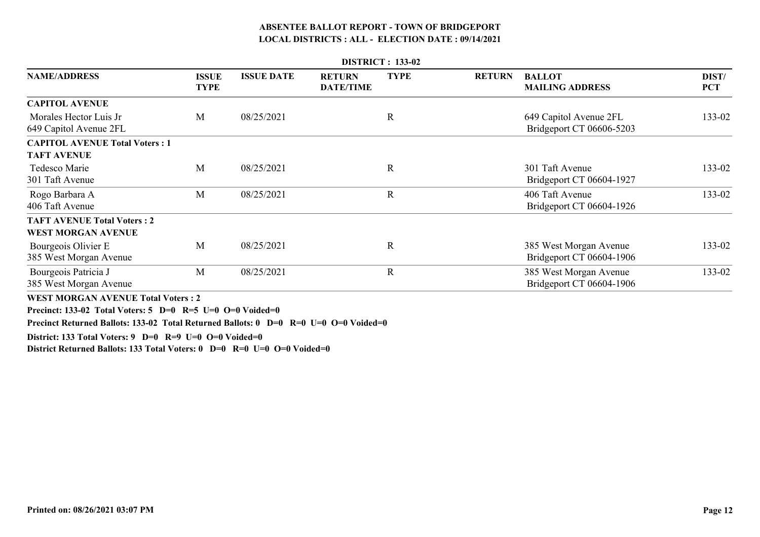|                                                  | <b>DISTRICT: 133-02</b>     |                   |                                   |             |               |                                                    |                     |  |  |  |  |
|--------------------------------------------------|-----------------------------|-------------------|-----------------------------------|-------------|---------------|----------------------------------------------------|---------------------|--|--|--|--|
| <b>NAME/ADDRESS</b>                              | <b>ISSUE</b><br><b>TYPE</b> | <b>ISSUE DATE</b> | <b>RETURN</b><br><b>DATE/TIME</b> | <b>TYPE</b> | <b>RETURN</b> | <b>BALLOT</b><br><b>MAILING ADDRESS</b>            | DIST/<br><b>PCT</b> |  |  |  |  |
| <b>CAPITOL AVENUE</b>                            |                             |                   |                                   |             |               |                                                    |                     |  |  |  |  |
| Morales Hector Luis Jr<br>649 Capitol Avenue 2FL | M                           | 08/25/2021        |                                   | R           |               | 649 Capitol Avenue 2FL<br>Bridgeport CT 06606-5203 | 133-02              |  |  |  |  |
| <b>CAPITOL AVENUE Total Voters: 1</b>            |                             |                   |                                   |             |               |                                                    |                     |  |  |  |  |
| <b>TAFT AVENUE</b>                               |                             |                   |                                   |             |               |                                                    |                     |  |  |  |  |
| Tedesco Marie<br>301 Taft Avenue                 | M                           | 08/25/2021        |                                   | $\mathbf R$ |               | 301 Taft Avenue<br>Bridgeport CT 06604-1927        | 133-02              |  |  |  |  |
| Rogo Barbara A<br>406 Taft Avenue                | M                           | 08/25/2021        |                                   | $\mathbf R$ |               | 406 Taft Avenue<br>Bridgeport CT 06604-1926        | 133-02              |  |  |  |  |
| <b>TAFT AVENUE Total Voters: 2</b>               |                             |                   |                                   |             |               |                                                    |                     |  |  |  |  |
| <b>WEST MORGAN AVENUE</b>                        |                             |                   |                                   |             |               |                                                    |                     |  |  |  |  |
| Bourgeois Olivier E<br>385 West Morgan Avenue    | M                           | 08/25/2021        |                                   | $\mathbf R$ |               | 385 West Morgan Avenue<br>Bridgeport CT 06604-1906 | 133-02              |  |  |  |  |
| Bourgeois Patricia J<br>385 West Morgan Avenue   | M                           | 08/25/2021        |                                   | $\mathbf R$ |               | 385 West Morgan Avenue<br>Bridgeport CT 06604-1906 | 133-02              |  |  |  |  |
| <b>WEST MORGAN AVENUE Total Voters: 2</b>        |                             |                   |                                   |             |               |                                                    |                     |  |  |  |  |

**Precinct: 133-02 Total Voters: 5 D=0 R=5 U=0 O=0 Voided=0**

**Precinct Returned Ballots: 133-02 Total Returned Ballots: 0 D=0 R=0 U=0 O=0 Voided=0**

**District: 133 Total Voters: 9 D=0 R=9 U=0 O=0 Voided=0**

**District Returned Ballots: 133 Total Voters: 0 D=0 R=0 U=0 O=0 Voided=0**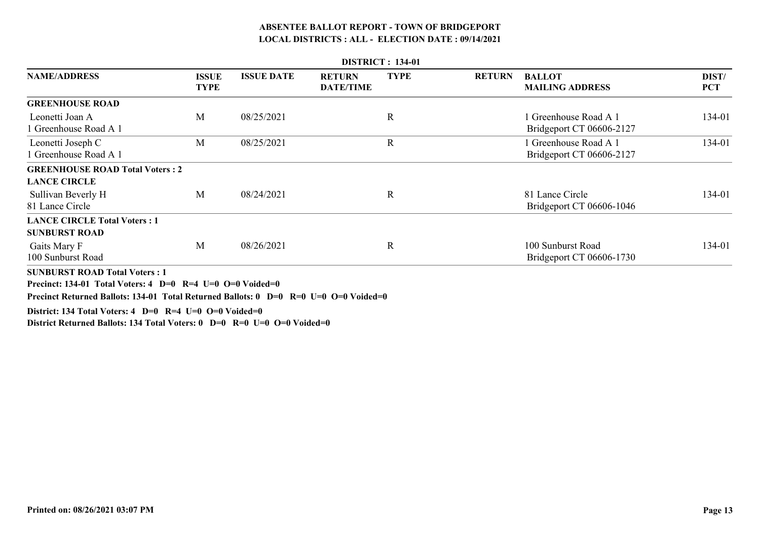|                                                                                                                                                                                           |                             |                   |                                   | <b>DISTRICT: 134-01</b> |               |                                                   |                     |
|-------------------------------------------------------------------------------------------------------------------------------------------------------------------------------------------|-----------------------------|-------------------|-----------------------------------|-------------------------|---------------|---------------------------------------------------|---------------------|
| <b>NAME/ADDRESS</b>                                                                                                                                                                       | <b>ISSUE</b><br><b>TYPE</b> | <b>ISSUE DATE</b> | <b>RETURN</b><br><b>DATE/TIME</b> | <b>TYPE</b>             | <b>RETURN</b> | <b>BALLOT</b><br><b>MAILING ADDRESS</b>           | DIST/<br><b>PCT</b> |
| <b>GREENHOUSE ROAD</b>                                                                                                                                                                    |                             |                   |                                   |                         |               |                                                   |                     |
| Leonetti Joan A<br>Greenhouse Road A 1                                                                                                                                                    | M                           | 08/25/2021        |                                   | R                       |               | 1 Greenhouse Road A 1<br>Bridgeport CT 06606-2127 | 134-01              |
| Leonetti Joseph C<br>Greenhouse Road A 1                                                                                                                                                  | M                           | 08/25/2021        |                                   | R                       |               | 1 Greenhouse Road A 1<br>Bridgeport CT 06606-2127 | 134-01              |
| <b>GREENHOUSE ROAD Total Voters: 2</b><br><b>LANCE CIRCLE</b>                                                                                                                             |                             |                   |                                   |                         |               |                                                   |                     |
| Sullivan Beverly H<br>81 Lance Circle                                                                                                                                                     | M                           | 08/24/2021        |                                   | R                       |               | 81 Lance Circle<br>Bridgeport CT 06606-1046       | 134-01              |
| <b>LANCE CIRCLE Total Voters: 1</b><br><b>SUNBURST ROAD</b>                                                                                                                               |                             |                   |                                   |                         |               |                                                   |                     |
| Gaits Mary F<br>100 Sunburst Road                                                                                                                                                         | M                           | 08/26/2021        |                                   | R                       |               | 100 Sunburst Road<br>Bridgeport CT 06606-1730     | 134-01              |
| <b>SUNBURST ROAD Total Voters: 1</b><br>Precinct: 134-01 Total Voters: 4 D=0 R=4 U=0 O=0 Voided=0<br>Precinct Returned Ballots: 134-01 Total Returned Ballots: 0 D=0 R=0 U=0 O=0 Voided=0 |                             |                   |                                   |                         |               |                                                   |                     |

**District: 134 Total Voters: 4 D=0 R=4 U=0 O=0 Voided=0**

**District Returned Ballots: 134 Total Voters: 0 D=0 R=0 U=0 O=0 Voided=0**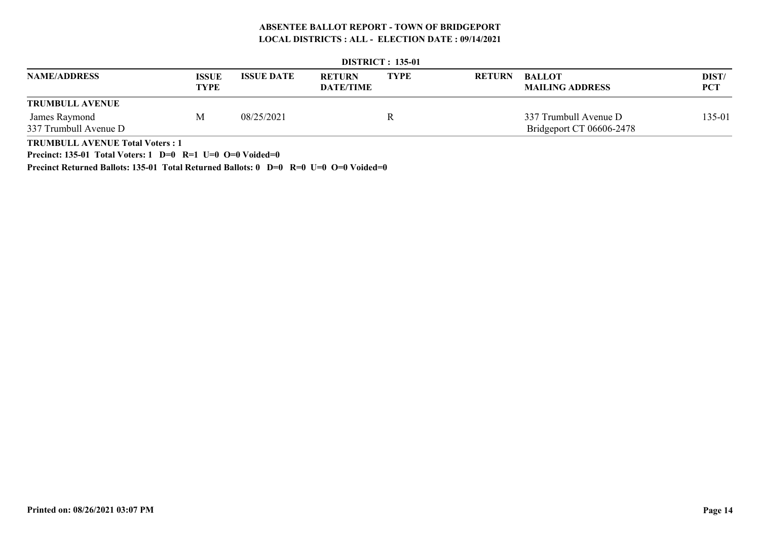|                        |                             |                   |                                   | <b>DISTRICT: 135-01</b> |               |                                         |                     |
|------------------------|-----------------------------|-------------------|-----------------------------------|-------------------------|---------------|-----------------------------------------|---------------------|
| <b>NAME/ADDRESS</b>    | <b>ISSUE</b><br><b>TYPE</b> | <b>ISSUE DATE</b> | <b>RETURN</b><br><b>DATE/TIME</b> | <b>TYPE</b>             | <b>RETURN</b> | <b>BALLOT</b><br><b>MAILING ADDRESS</b> | DIST/<br><b>PCT</b> |
| <b>TRUMBULL AVENUE</b> |                             |                   |                                   |                         |               |                                         |                     |
| James Raymond          | М                           | 08/25/2021        |                                   |                         |               | 337 Trumbull Avenue D                   | 135-01              |
| 337 Trumbull Avenue D  |                             |                   |                                   |                         |               | Bridgeport CT 06606-2478                |                     |
| $\mathbf{m}$           |                             |                   |                                   |                         |               |                                         |                     |

| <b>DISTRICT</b> : 135-01 |  |
|--------------------------|--|
|                          |  |

**TRUMBULL AVENUE Total Voters : 1**

**Precinct: 135-01 Total Voters: 1 D=0 R=1 U=0 O=0 Voided=0**

**Precinct Returned Ballots: 135-01 Total Returned Ballots: 0 D=0 R=0 U=0 O=0 Voided=0**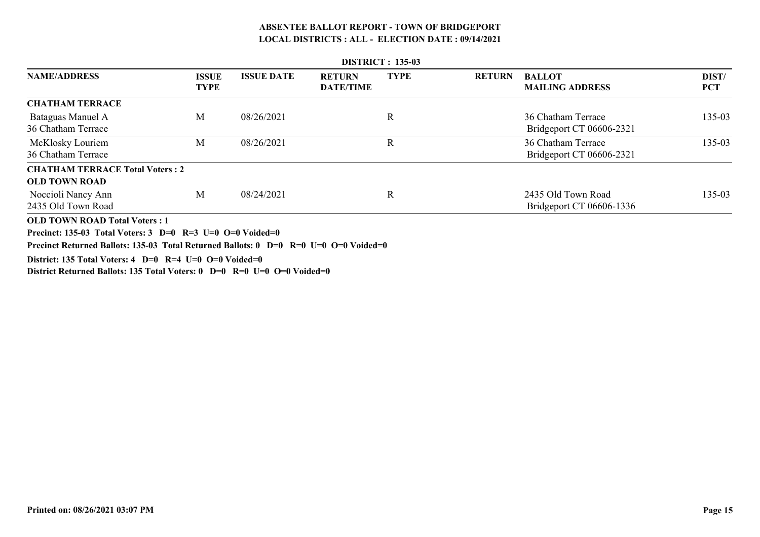| <b>DISTRICT: 135-03</b>                                                                                                                                                                   |                             |                   |                                   |             |               |                                                |                     |  |  |  |  |
|-------------------------------------------------------------------------------------------------------------------------------------------------------------------------------------------|-----------------------------|-------------------|-----------------------------------|-------------|---------------|------------------------------------------------|---------------------|--|--|--|--|
| <b>NAME/ADDRESS</b>                                                                                                                                                                       | <b>ISSUE</b><br><b>TYPE</b> | <b>ISSUE DATE</b> | <b>RETURN</b><br><b>DATE/TIME</b> | <b>TYPE</b> | <b>RETURN</b> | <b>BALLOT</b><br><b>MAILING ADDRESS</b>        | DIST/<br><b>PCT</b> |  |  |  |  |
| <b>CHATHAM TERRACE</b>                                                                                                                                                                    |                             |                   |                                   |             |               |                                                |                     |  |  |  |  |
| Bataguas Manuel A<br>36 Chatham Terrace                                                                                                                                                   | M                           | 08/26/2021        |                                   | R           |               | 36 Chatham Terrace<br>Bridgeport CT 06606-2321 | 135-03              |  |  |  |  |
| McKlosky Louriem<br>36 Chatham Terrace                                                                                                                                                    | M                           | 08/26/2021        |                                   | R           |               | 36 Chatham Terrace<br>Bridgeport CT 06606-2321 | 135-03              |  |  |  |  |
| <b>CHATHAM TERRACE Total Voters: 2</b><br><b>OLD TOWN ROAD</b>                                                                                                                            |                             |                   |                                   |             |               |                                                |                     |  |  |  |  |
| Noccioli Nancy Ann<br>2435 Old Town Road                                                                                                                                                  | M                           | 08/24/2021        |                                   | $\mathbf R$ |               | 2435 Old Town Road<br>Bridgeport CT 06606-1336 | 135-03              |  |  |  |  |
| <b>OLD TOWN ROAD Total Voters: 1</b><br>Precinct: 135-03 Total Voters: 3 D=0 R=3 U=0 O=0 Voided=0<br>Precinct Returned Ballots: 135-03 Total Returned Ballots: 0 D=0 R=0 U=0 O=0 Voided=0 |                             |                   |                                   |             |               |                                                |                     |  |  |  |  |

**District: 135 Total Voters: 4 D=0 R=4 U=0 O=0 Voided=0**

**District Returned Ballots: 135 Total Voters: 0 D=0 R=0 U=0 O=0 Voided=0**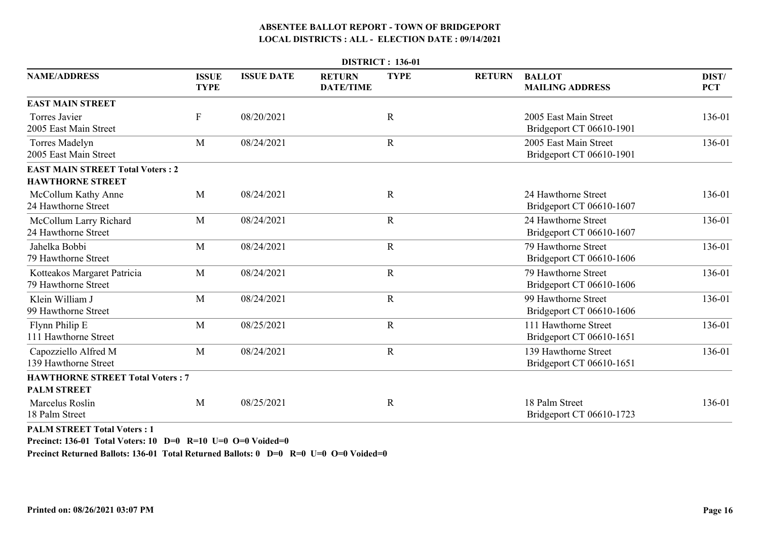|                                                                    |                             |                   |                                   | <b>DISTRICT: 136-01</b> |               |                                                   |                     |
|--------------------------------------------------------------------|-----------------------------|-------------------|-----------------------------------|-------------------------|---------------|---------------------------------------------------|---------------------|
| <b>NAME/ADDRESS</b>                                                | <b>ISSUE</b><br><b>TYPE</b> | <b>ISSUE DATE</b> | <b>RETURN</b><br><b>DATE/TIME</b> | <b>TYPE</b>             | <b>RETURN</b> | <b>BALLOT</b><br><b>MAILING ADDRESS</b>           | DIST/<br><b>PCT</b> |
| <b>EAST MAIN STREET</b>                                            |                             |                   |                                   |                         |               |                                                   |                     |
| Torres Javier<br>2005 East Main Street                             | $\boldsymbol{\mathrm{F}}$   | 08/20/2021        |                                   | $\mathbb{R}$            |               | 2005 East Main Street<br>Bridgeport CT 06610-1901 | 136-01              |
| Torres Madelyn<br>2005 East Main Street                            | M                           | 08/24/2021        |                                   | $\mathbf R$             |               | 2005 East Main Street<br>Bridgeport CT 06610-1901 | 136-01              |
| <b>EAST MAIN STREET Total Voters: 2</b><br><b>HAWTHORNE STREET</b> |                             |                   |                                   |                         |               |                                                   |                     |
| McCollum Kathy Anne<br>24 Hawthorne Street                         | M                           | 08/24/2021        |                                   | $\mathbf R$             |               | 24 Hawthorne Street<br>Bridgeport CT 06610-1607   | 136-01              |
| McCollum Larry Richard<br>24 Hawthorne Street                      | M                           | 08/24/2021        |                                   | $\mathbf R$             |               | 24 Hawthorne Street<br>Bridgeport CT 06610-1607   | 136-01              |
| Jahelka Bobbi<br>79 Hawthorne Street                               | M                           | 08/24/2021        |                                   | $\mathbf R$             |               | 79 Hawthorne Street<br>Bridgeport CT 06610-1606   | 136-01              |
| Kotteakos Margaret Patricia<br>79 Hawthorne Street                 | M                           | 08/24/2021        |                                   | $\mathbf R$             |               | 79 Hawthorne Street<br>Bridgeport CT 06610-1606   | 136-01              |
| Klein William J<br>99 Hawthorne Street                             | M                           | 08/24/2021        |                                   | $\mathbf R$             |               | 99 Hawthorne Street<br>Bridgeport CT 06610-1606   | 136-01              |
| Flynn Philip E<br>111 Hawthorne Street                             | M                           | 08/25/2021        |                                   | $\mathbf R$             |               | 111 Hawthorne Street<br>Bridgeport CT 06610-1651  | 136-01              |
| Capozziello Alfred M<br>139 Hawthorne Street                       | M                           | 08/24/2021        |                                   | $\mathbf R$             |               | 139 Hawthorne Street<br>Bridgeport CT 06610-1651  | 136-01              |
| <b>HAWTHORNE STREET Total Voters: 7</b><br><b>PALM STREET</b>      |                             |                   |                                   |                         |               |                                                   |                     |
| Marcelus Roslin<br>18 Palm Street                                  | M                           | 08/25/2021        |                                   | $\mathbf R$             |               | 18 Palm Street<br>Bridgeport CT 06610-1723        | 136-01              |
|                                                                    |                             |                   |                                   |                         |               |                                                   |                     |

**PALM STREET Total Voters : 1**

**Precinct: 136-01 Total Voters: 10 D=0 R=10 U=0 O=0 Voided=0**

**Precinct Returned Ballots: 136-01 Total Returned Ballots: 0 D=0 R=0 U=0 O=0 Voided=0**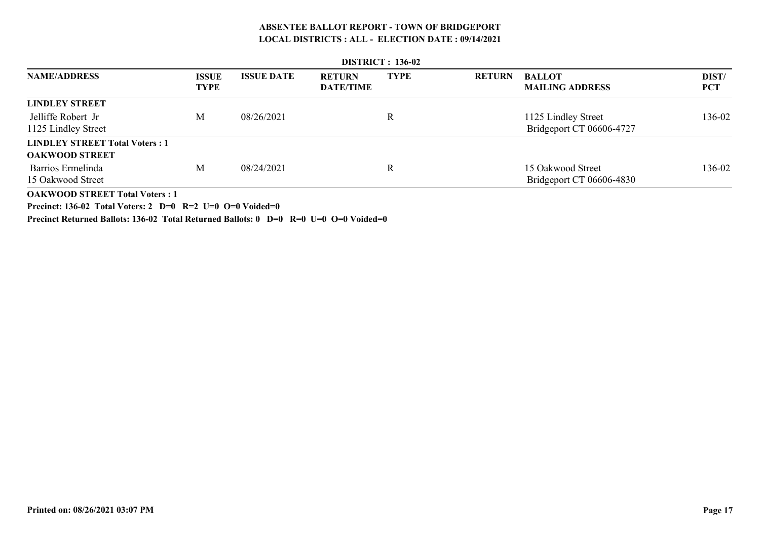|                                       | <b>DISTRICT</b> : 136-02    |                   |                                   |             |               |                                         |                     |  |  |  |  |  |
|---------------------------------------|-----------------------------|-------------------|-----------------------------------|-------------|---------------|-----------------------------------------|---------------------|--|--|--|--|--|
| <b>NAME/ADDRESS</b>                   | <b>ISSUE</b><br><b>TYPE</b> | <b>ISSUE DATE</b> | <b>RETURN</b><br><b>DATE/TIME</b> | <b>TYPE</b> | <b>RETURN</b> | <b>BALLOT</b><br><b>MAILING ADDRESS</b> | DIST/<br><b>PCT</b> |  |  |  |  |  |
| <b>LINDLEY STREET</b>                 |                             |                   |                                   |             |               |                                         |                     |  |  |  |  |  |
| Jelliffe Robert Jr                    | M                           | 08/26/2021        |                                   | R           |               | 1125 Lindley Street                     | 136-02              |  |  |  |  |  |
| 1125 Lindley Street                   |                             |                   |                                   |             |               | Bridgeport CT 06606-4727                |                     |  |  |  |  |  |
| <b>LINDLEY STREET Total Voters: 1</b> |                             |                   |                                   |             |               |                                         |                     |  |  |  |  |  |
| <b>OAKWOOD STREET</b>                 |                             |                   |                                   |             |               |                                         |                     |  |  |  |  |  |
| Barrios Ermelinda                     | M                           | 08/24/2021        |                                   | R           |               | 15 Oakwood Street                       | 136-02              |  |  |  |  |  |
| 15 Oakwood Street                     |                             |                   |                                   |             |               | Bridgeport CT 06606-4830                |                     |  |  |  |  |  |
| <b>OAKWOOD STREET Total Voters: 1</b> |                             |                   |                                   |             |               |                                         |                     |  |  |  |  |  |

**Precinct: 136-02 Total Voters: 2 D=0 R=2 U=0 O=0 Voided=0**

**Precinct Returned Ballots: 136-02 Total Returned Ballots: 0 D=0 R=0 U=0 O=0 Voided=0**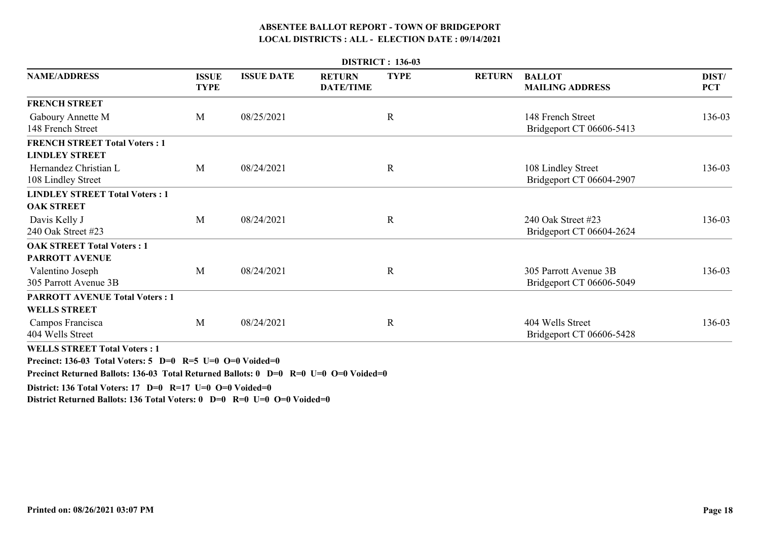|                                                                                                                                 |                             |                   |                                   | <b>DISTRICT: 136-03</b> |               |                                                   |                     |
|---------------------------------------------------------------------------------------------------------------------------------|-----------------------------|-------------------|-----------------------------------|-------------------------|---------------|---------------------------------------------------|---------------------|
| <b>NAME/ADDRESS</b>                                                                                                             | <b>ISSUE</b><br><b>TYPE</b> | <b>ISSUE DATE</b> | <b>RETURN</b><br><b>DATE/TIME</b> | <b>TYPE</b>             | <b>RETURN</b> | <b>BALLOT</b><br><b>MAILING ADDRESS</b>           | DIST/<br><b>PCT</b> |
| <b>FRENCH STREET</b>                                                                                                            |                             |                   |                                   |                         |               |                                                   |                     |
| Gaboury Annette M<br>148 French Street                                                                                          | M                           | 08/25/2021        |                                   | $\mathbf R$             |               | 148 French Street<br>Bridgeport CT 06606-5413     | 136-03              |
| <b>FRENCH STREET Total Voters: 1</b><br><b>LINDLEY STREET</b>                                                                   |                             |                   |                                   |                         |               |                                                   |                     |
| Hernandez Christian L<br>108 Lindley Street                                                                                     | M                           | 08/24/2021        |                                   | $\mathbf R$             |               | 108 Lindley Street<br>Bridgeport CT 06604-2907    | 136-03              |
| <b>LINDLEY STREET Total Voters: 1</b>                                                                                           |                             |                   |                                   |                         |               |                                                   |                     |
| <b>OAK STREET</b>                                                                                                               |                             |                   |                                   |                         |               |                                                   |                     |
| Davis Kelly J<br>240 Oak Street #23                                                                                             | M                           | 08/24/2021        |                                   | $\mathbf R$             |               | 240 Oak Street #23<br>Bridgeport CT 06604-2624    | 136-03              |
| <b>OAK STREET Total Voters: 1</b><br>PARROTT AVENUE                                                                             |                             |                   |                                   |                         |               |                                                   |                     |
| Valentino Joseph<br>305 Parrott Avenue 3B                                                                                       | M                           | 08/24/2021        |                                   | $\mathbf R$             |               | 305 Parrott Avenue 3B<br>Bridgeport CT 06606-5049 | 136-03              |
| <b>PARROTT AVENUE Total Voters: 1</b>                                                                                           |                             |                   |                                   |                         |               |                                                   |                     |
| <b>WELLS STREET</b>                                                                                                             |                             |                   |                                   |                         |               |                                                   |                     |
| Campos Francisca<br>404 Wells Street                                                                                            | M                           | 08/24/2021        |                                   | $\mathbf R$             |               | 404 Wells Street<br>Bridgeport CT 06606-5428      | 136-03              |
| WELL COEDEER $\mathbf{F}$ and $\mathbf{F}$ and $\mathbf{F}$ and $\mathbf{F}$ and $\mathbf{F}$ and $\mathbf{F}$ and $\mathbf{F}$ |                             |                   |                                   |                         |               |                                                   |                     |

**WELLS STREET Total Voters : 1**

**Precinct: 136-03 Total Voters: 5 D=0 R=5 U=0 O=0 Voided=0**

**Precinct Returned Ballots: 136-03 Total Returned Ballots: 0 D=0 R=0 U=0 O=0 Voided=0**

**District: 136 Total Voters: 17 D=0 R=17 U=0 O=0 Voided=0**

**District Returned Ballots: 136 Total Voters: 0 D=0 R=0 U=0 O=0 Voided=0**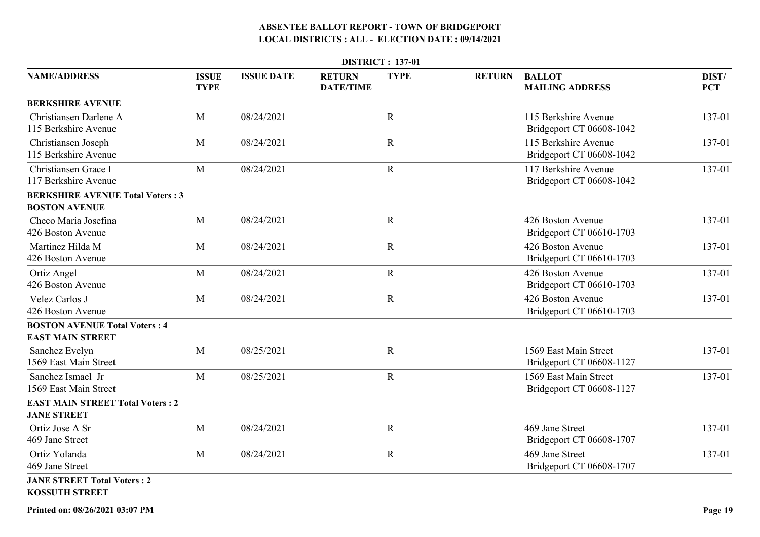|                                                                 |                             |                   |                                   | <b>DISTRICT: 137-01</b> |               |                                                   |                     |
|-----------------------------------------------------------------|-----------------------------|-------------------|-----------------------------------|-------------------------|---------------|---------------------------------------------------|---------------------|
| <b>NAME/ADDRESS</b>                                             | <b>ISSUE</b><br><b>TYPE</b> | <b>ISSUE DATE</b> | <b>RETURN</b><br><b>DATE/TIME</b> | <b>TYPE</b>             | <b>RETURN</b> | <b>BALLOT</b><br><b>MAILING ADDRESS</b>           | DIST/<br><b>PCT</b> |
| <b>BERKSHIRE AVENUE</b>                                         |                             |                   |                                   |                         |               |                                                   |                     |
| Christiansen Darlene A<br>115 Berkshire Avenue                  | M                           | 08/24/2021        |                                   | $\mathbf R$             |               | 115 Berkshire Avenue<br>Bridgeport CT 06608-1042  | 137-01              |
| Christiansen Joseph<br>115 Berkshire Avenue                     | M                           | 08/24/2021        |                                   | $\mathbf R$             |               | 115 Berkshire Avenue<br>Bridgeport CT 06608-1042  | 137-01              |
| Christiansen Grace I<br>117 Berkshire Avenue                    | $\mathbf{M}$                | 08/24/2021        |                                   | $\mathbf R$             |               | 117 Berkshire Avenue<br>Bridgeport CT 06608-1042  | 137-01              |
| <b>BERKSHIRE AVENUE Total Voters: 3</b><br><b>BOSTON AVENUE</b> |                             |                   |                                   |                         |               |                                                   |                     |
| Checo Maria Josefina<br>426 Boston Avenue                       | M                           | 08/24/2021        |                                   | $\mathbf R$             |               | 426 Boston Avenue<br>Bridgeport CT 06610-1703     | 137-01              |
| Martinez Hilda M<br>426 Boston Avenue                           | M                           | 08/24/2021        |                                   | $\mathbf R$             |               | 426 Boston Avenue<br>Bridgeport CT 06610-1703     | 137-01              |
| Ortiz Angel<br>426 Boston Avenue                                | M                           | 08/24/2021        |                                   | $\mathbf R$             |               | 426 Boston Avenue<br>Bridgeport CT 06610-1703     | 137-01              |
| Velez Carlos J<br>426 Boston Avenue                             | $\mathbf{M}$                | 08/24/2021        |                                   | $\mathbf R$             |               | 426 Boston Avenue<br>Bridgeport CT 06610-1703     | 137-01              |
| <b>BOSTON AVENUE Total Voters: 4</b><br><b>EAST MAIN STREET</b> |                             |                   |                                   |                         |               |                                                   |                     |
| Sanchez Evelyn<br>1569 East Main Street                         | M                           | 08/25/2021        |                                   | $\mathbf R$             |               | 1569 East Main Street<br>Bridgeport CT 06608-1127 | 137-01              |
| Sanchez Ismael Jr<br>1569 East Main Street                      | M                           | 08/25/2021        |                                   | $\mathbf R$             |               | 1569 East Main Street<br>Bridgeport CT 06608-1127 | 137-01              |
| <b>EAST MAIN STREET Total Voters: 2</b><br><b>JANE STREET</b>   |                             |                   |                                   |                         |               |                                                   |                     |
| Ortiz Jose A Sr<br>469 Jane Street                              | M                           | 08/24/2021        |                                   | $\mathbf R$             |               | 469 Jane Street<br>Bridgeport CT 06608-1707       | 137-01              |
| Ortiz Yolanda<br>469 Jane Street                                | M                           | 08/24/2021        |                                   | $\mathbf R$             |               | 469 Jane Street<br>Bridgeport CT 06608-1707       | 137-01              |
| <b>JANE STREET Total Voters: 2</b><br><b>KOSSUTH STREET</b>     |                             |                   |                                   |                         |               |                                                   |                     |

**Printed on: 08/26/2021 03:07 PM**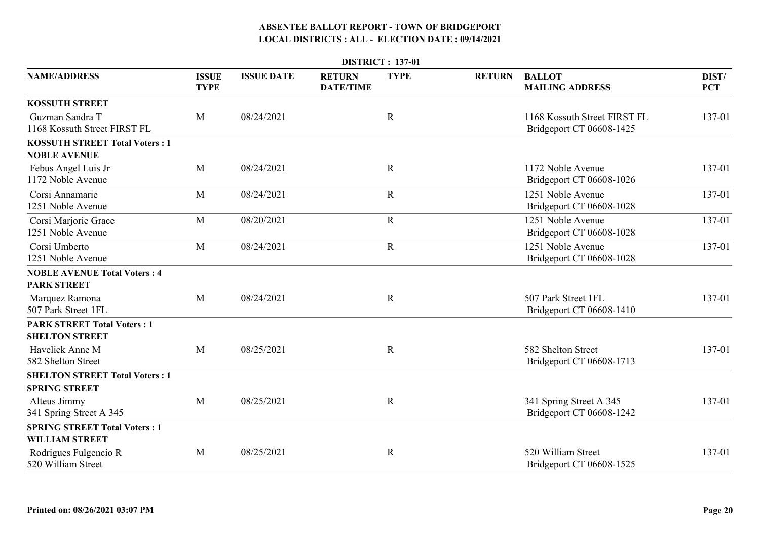|                                                               |                             |                   |                                   | <b>DISTRICT: 137-01</b> |               |                                                          |                     |
|---------------------------------------------------------------|-----------------------------|-------------------|-----------------------------------|-------------------------|---------------|----------------------------------------------------------|---------------------|
| <b>NAME/ADDRESS</b>                                           | <b>ISSUE</b><br><b>TYPE</b> | <b>ISSUE DATE</b> | <b>RETURN</b><br><b>DATE/TIME</b> | <b>TYPE</b>             | <b>RETURN</b> | <b>BALLOT</b><br><b>MAILING ADDRESS</b>                  | DIST/<br><b>PCT</b> |
| <b>KOSSUTH STREET</b>                                         |                             |                   |                                   |                         |               |                                                          |                     |
| Guzman Sandra T<br>1168 Kossuth Street FIRST FL               | M                           | 08/24/2021        |                                   | $\mathbf R$             |               | 1168 Kossuth Street FIRST FL<br>Bridgeport CT 06608-1425 | 137-01              |
| <b>KOSSUTH STREET Total Voters: 1</b><br><b>NOBLE AVENUE</b>  |                             |                   |                                   |                         |               |                                                          |                     |
| Febus Angel Luis Jr<br>1172 Noble Avenue                      | $\mathbf{M}$                | 08/24/2021        |                                   | $\mathbf R$             |               | 1172 Noble Avenue<br>Bridgeport CT 06608-1026            | 137-01              |
| Corsi Annamarie<br>1251 Noble Avenue                          | M                           | 08/24/2021        |                                   | $\mathbf R$             |               | 1251 Noble Avenue<br>Bridgeport CT 06608-1028            | 137-01              |
| Corsi Marjorie Grace<br>1251 Noble Avenue                     | M                           | 08/20/2021        |                                   | $\mathbf R$             |               | 1251 Noble Avenue<br>Bridgeport CT 06608-1028            | 137-01              |
| Corsi Umberto<br>1251 Noble Avenue                            | M                           | 08/24/2021        |                                   | $\mathbf R$             |               | 1251 Noble Avenue<br>Bridgeport CT 06608-1028            | 137-01              |
| <b>NOBLE AVENUE Total Voters: 4</b>                           |                             |                   |                                   |                         |               |                                                          |                     |
| <b>PARK STREET</b>                                            |                             |                   |                                   |                         |               |                                                          |                     |
| Marquez Ramona<br>507 Park Street 1FL                         | M                           | 08/24/2021        |                                   | $\mathbf R$             |               | 507 Park Street 1FL<br>Bridgeport CT 06608-1410          | 137-01              |
| <b>PARK STREET Total Voters: 1</b><br><b>SHELTON STREET</b>   |                             |                   |                                   |                         |               |                                                          |                     |
| Havelick Anne M<br>582 Shelton Street                         | M                           | 08/25/2021        |                                   | $\mathbf R$             |               | 582 Shelton Street<br>Bridgeport CT 06608-1713           | 137-01              |
| <b>SHELTON STREET Total Voters: 1</b>                         |                             |                   |                                   |                         |               |                                                          |                     |
| <b>SPRING STREET</b>                                          |                             |                   |                                   |                         |               |                                                          |                     |
| Alteus Jimmy<br>341 Spring Street A 345                       | M                           | 08/25/2021        |                                   | $\mathbf R$             |               | 341 Spring Street A 345<br>Bridgeport CT 06608-1242      | 137-01              |
| <b>SPRING STREET Total Voters: 1</b><br><b>WILLIAM STREET</b> |                             |                   |                                   |                         |               |                                                          |                     |
| Rodrigues Fulgencio R<br>520 William Street                   | M                           | 08/25/2021        |                                   | $\mathbf R$             |               | 520 William Street<br>Bridgeport CT 06608-1525           | 137-01              |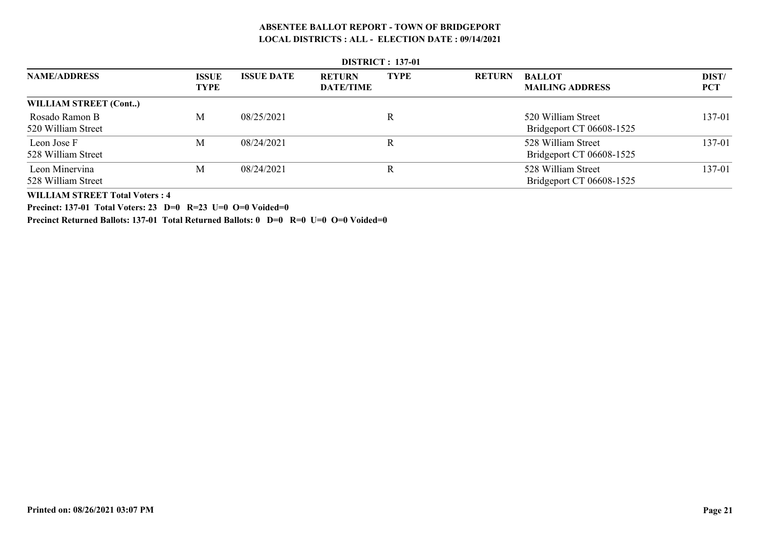|                                      | <b>DISTRICT: 137-01</b>     |                   |                                   |             |               |                                                |                     |  |  |  |  |
|--------------------------------------|-----------------------------|-------------------|-----------------------------------|-------------|---------------|------------------------------------------------|---------------------|--|--|--|--|
| <b>NAME/ADDRESS</b>                  | <b>ISSUE</b><br><b>TYPE</b> | <b>ISSUE DATE</b> | <b>RETURN</b><br><b>DATE/TIME</b> | <b>TYPE</b> | <b>RETURN</b> | <b>BALLOT</b><br><b>MAILING ADDRESS</b>        | DIST/<br><b>PCT</b> |  |  |  |  |
| WILLIAM STREET (Cont)                |                             |                   |                                   |             |               |                                                |                     |  |  |  |  |
| Rosado Ramon B<br>520 William Street | M                           | 08/25/2021        |                                   | R           |               | 520 William Street<br>Bridgeport CT 06608-1525 | 137-01              |  |  |  |  |
| Leon Jose F<br>528 William Street    | M                           | 08/24/2021        |                                   | R           |               | 528 William Street<br>Bridgeport CT 06608-1525 | 137-01              |  |  |  |  |
| Leon Minervina<br>528 William Street | M                           | 08/24/2021        |                                   | R           |               | 528 William Street<br>Bridgeport CT 06608-1525 | 137-01              |  |  |  |  |

 **DISTRICT : 137-01**

**WILLIAM STREET Total Voters : 4**

**Precinct: 137-01 Total Voters: 23 D=0 R=23 U=0 O=0 Voided=0**

**Precinct Returned Ballots: 137-01 Total Returned Ballots: 0 D=0 R=0 U=0 O=0 Voided=0**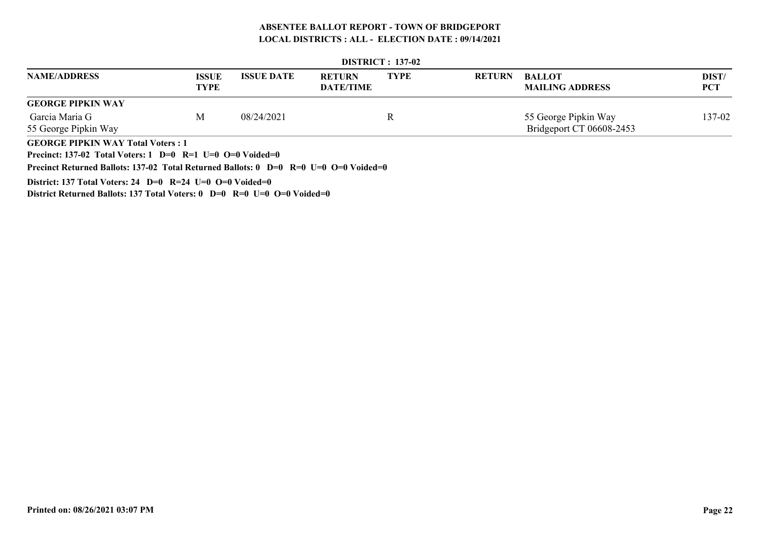|                                                                                          | $PINIUL$ : $13/74$          |                   |                                   |             |               |                                         |                     |  |  |  |  |
|------------------------------------------------------------------------------------------|-----------------------------|-------------------|-----------------------------------|-------------|---------------|-----------------------------------------|---------------------|--|--|--|--|
| <b>NAME/ADDRESS</b>                                                                      | <b>ISSUE</b><br><b>TYPE</b> | <b>ISSUE DATE</b> | <b>RETURN</b><br><b>DATE/TIME</b> | <b>TYPE</b> | <b>RETURN</b> | <b>BALLOT</b><br><b>MAILING ADDRESS</b> | DIST/<br><b>PCT</b> |  |  |  |  |
| <b>GEORGE PIPKIN WAY</b>                                                                 |                             |                   |                                   |             |               |                                         |                     |  |  |  |  |
| Garcia Maria G                                                                           | M                           | 08/24/2021        |                                   | R           |               | 55 George Pipkin Way                    | 137-02              |  |  |  |  |
| 55 George Pipkin Way                                                                     |                             |                   |                                   |             |               | Bridgeport CT 06608-2453                |                     |  |  |  |  |
| <b>GEORGE PIPKIN WAY Total Voters: 1</b>                                                 |                             |                   |                                   |             |               |                                         |                     |  |  |  |  |
| <b>Precinct: 137-02 Total Voters: 1 D=0 R=1 U=0 O=0 Voided=0</b>                         |                             |                   |                                   |             |               |                                         |                     |  |  |  |  |
| Precinct Returned Ballots: 137-02 Total Returned Ballots: $0$ D=0 R=0 U=0 O=0 Voided=0   |                             |                   |                                   |             |               |                                         |                     |  |  |  |  |
| District: 137 Total Voters: 24 D=0 R=24 U=0 O=0 Voided=0                                 |                             |                   |                                   |             |               |                                         |                     |  |  |  |  |
| District Returned Ballots: 137 Total Voters: $0$ D= $0$ R= $0$ U= $0$ O= $0$ Voided= $0$ |                             |                   |                                   |             |               |                                         |                     |  |  |  |  |

 **DISTRICT : 137-02**

**Printed on: 08/26/2021 03:07 PM**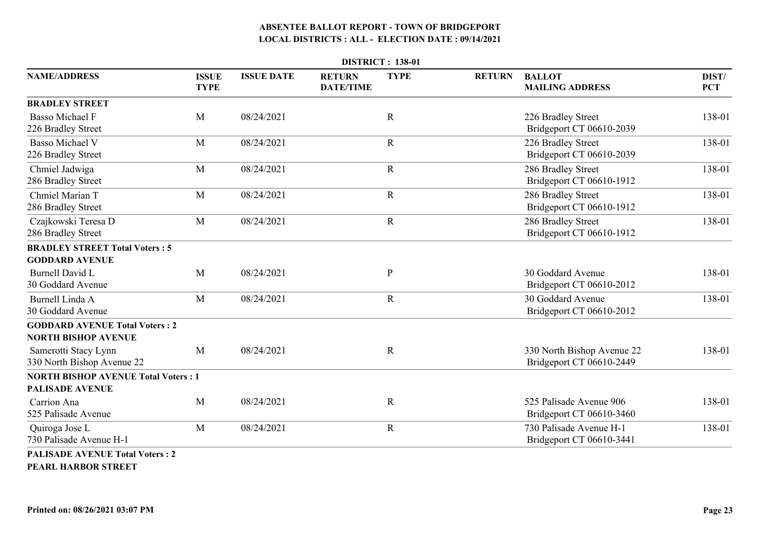|                                                                      |                             | <b>DISTRICT: 138-01</b> |                                   |             |               |                                                        |                     |  |  |  |  |
|----------------------------------------------------------------------|-----------------------------|-------------------------|-----------------------------------|-------------|---------------|--------------------------------------------------------|---------------------|--|--|--|--|
| <b>NAME/ADDRESS</b>                                                  | <b>ISSUE</b><br><b>TYPE</b> | <b>ISSUE DATE</b>       | <b>RETURN</b><br><b>DATE/TIME</b> | <b>TYPE</b> | <b>RETURN</b> | <b>BALLOT</b><br><b>MAILING ADDRESS</b>                | DIST/<br><b>PCT</b> |  |  |  |  |
| <b>BRADLEY STREET</b>                                                |                             |                         |                                   |             |               |                                                        |                     |  |  |  |  |
| <b>Basso Michael F</b><br>226 Bradley Street                         | M                           | 08/24/2021              |                                   | $\mathbf R$ |               | 226 Bradley Street<br>Bridgeport CT 06610-2039         | 138-01              |  |  |  |  |
| <b>Basso Michael V</b><br>226 Bradley Street                         | M                           | 08/24/2021              |                                   | $\mathbf R$ |               | 226 Bradley Street<br>Bridgeport CT 06610-2039         | 138-01              |  |  |  |  |
| Chmiel Jadwiga<br>286 Bradley Street                                 | M                           | 08/24/2021              |                                   | $\mathbf R$ |               | 286 Bradley Street<br>Bridgeport CT 06610-1912         | 138-01              |  |  |  |  |
| Chmiel Marian T<br>286 Bradley Street                                | M                           | 08/24/2021              |                                   | $\mathbf R$ |               | 286 Bradley Street<br>Bridgeport CT 06610-1912         | 138-01              |  |  |  |  |
| Czajkowski Teresa D<br>286 Bradley Street                            | M                           | 08/24/2021              |                                   | $\mathbf R$ |               | 286 Bradley Street<br>Bridgeport CT 06610-1912         | 138-01              |  |  |  |  |
| <b>BRADLEY STREET Total Voters: 5</b>                                |                             |                         |                                   |             |               |                                                        |                     |  |  |  |  |
| <b>GODDARD AVENUE</b>                                                |                             |                         |                                   |             |               |                                                        |                     |  |  |  |  |
| <b>Burnell David L</b><br>30 Goddard Avenue                          | M                           | 08/24/2021              |                                   | ${\bf P}$   |               | 30 Goddard Avenue<br>Bridgeport CT 06610-2012          | 138-01              |  |  |  |  |
| Burnell Linda A<br>30 Goddard Avenue                                 | M                           | 08/24/2021              |                                   | $\mathbf R$ |               | 30 Goddard Avenue<br>Bridgeport CT 06610-2012          | 138-01              |  |  |  |  |
| <b>GODDARD AVENUE Total Voters: 2</b><br><b>NORTH BISHOP AVENUE</b>  |                             |                         |                                   |             |               |                                                        |                     |  |  |  |  |
| Samerotti Stacy Lynn<br>330 North Bishop Avenue 22                   | M                           | 08/24/2021              |                                   | $\mathbf R$ |               | 330 North Bishop Avenue 22<br>Bridgeport CT 06610-2449 | 138-01              |  |  |  |  |
| <b>NORTH BISHOP AVENUE Total Voters: 1</b><br><b>PALISADE AVENUE</b> |                             |                         |                                   |             |               |                                                        |                     |  |  |  |  |
| Carrion Ana<br>525 Palisade Avenue                                   | M                           | 08/24/2021              |                                   | $\mathbf R$ |               | 525 Palisade Avenue 906<br>Bridgeport CT 06610-3460    | 138-01              |  |  |  |  |
| Quiroga Jose L<br>730 Palisade Avenue H-1                            | M                           | 08/24/2021              |                                   | $\mathbf R$ |               | 730 Palisade Avenue H-1<br>Bridgeport CT 06610-3441    | 138-01              |  |  |  |  |
| <b>PALISADE AVENUE Total Voters: 2</b>                               |                             |                         |                                   |             |               |                                                        |                     |  |  |  |  |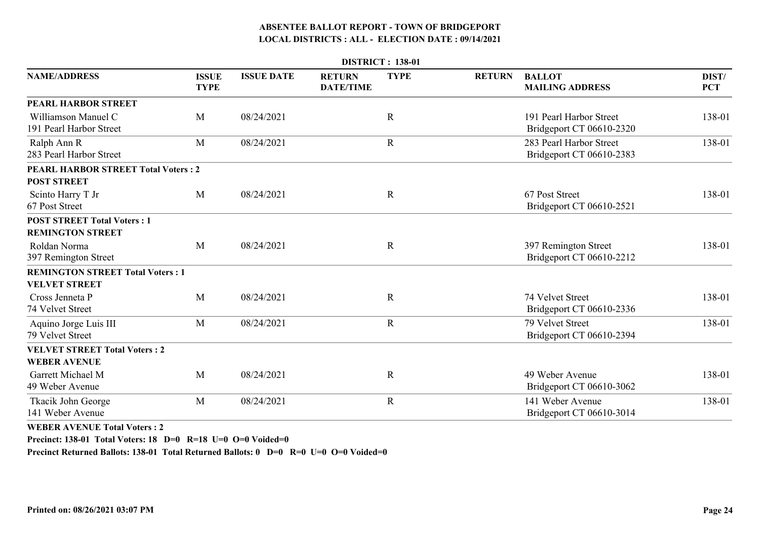|                                                               |                             |                   |                                   | <b>DISTRICT: 138-01</b> |               |                                                     |                     |
|---------------------------------------------------------------|-----------------------------|-------------------|-----------------------------------|-------------------------|---------------|-----------------------------------------------------|---------------------|
| <b>NAME/ADDRESS</b>                                           | <b>ISSUE</b><br><b>TYPE</b> | <b>ISSUE DATE</b> | <b>RETURN</b><br><b>DATE/TIME</b> | <b>TYPE</b>             | <b>RETURN</b> | <b>BALLOT</b><br><b>MAILING ADDRESS</b>             | DIST/<br><b>PCT</b> |
| PEARL HARBOR STREET                                           |                             |                   |                                   |                         |               |                                                     |                     |
| Williamson Manuel C<br>191 Pearl Harbor Street                | M                           | 08/24/2021        |                                   | $\mathbf R$             |               | 191 Pearl Harbor Street<br>Bridgeport CT 06610-2320 | 138-01              |
| Ralph Ann R<br>283 Pearl Harbor Street                        | M                           | 08/24/2021        |                                   | $\mathbf R$             |               | 283 Pearl Harbor Street<br>Bridgeport CT 06610-2383 | 138-01              |
| <b>PEARL HARBOR STREET Total Voters: 2</b>                    |                             |                   |                                   |                         |               |                                                     |                     |
| <b>POST STREET</b>                                            |                             |                   |                                   |                         |               |                                                     |                     |
| Scinto Harry T Jr<br>67 Post Street                           | M                           | 08/24/2021        |                                   | $\mathbf R$             |               | 67 Post Street<br>Bridgeport CT 06610-2521          | 138-01              |
| <b>POST STREET Total Voters: 1</b><br><b>REMINGTON STREET</b> |                             |                   |                                   |                         |               |                                                     |                     |
| Roldan Norma<br>397 Remington Street                          | M                           | 08/24/2021        |                                   | $\mathbf R$             |               | 397 Remington Street<br>Bridgeport CT 06610-2212    | 138-01              |
| <b>REMINGTON STREET Total Voters: 1</b>                       |                             |                   |                                   |                         |               |                                                     |                     |
| <b>VELVET STREET</b>                                          |                             |                   |                                   |                         |               |                                                     |                     |
| Cross Jenneta P<br>74 Velvet Street                           | M                           | 08/24/2021        |                                   | $\mathbf R$             |               | 74 Velvet Street<br>Bridgeport CT 06610-2336        | 138-01              |
| Aquino Jorge Luis III<br>79 Velvet Street                     | M                           | 08/24/2021        |                                   | $\mathbf R$             |               | 79 Velvet Street<br>Bridgeport CT 06610-2394        | 138-01              |
| <b>VELVET STREET Total Voters: 2</b><br><b>WEBER AVENUE</b>   |                             |                   |                                   |                         |               |                                                     |                     |
| Garrett Michael M<br>49 Weber Avenue                          | M                           | 08/24/2021        |                                   | $\mathbf R$             |               | 49 Weber Avenue<br>Bridgeport CT 06610-3062         | 138-01              |
| Tkacik John George<br>141 Weber Avenue                        | M                           | 08/24/2021        |                                   | $\mathbf R$             |               | 141 Weber Avenue<br>Bridgeport CT 06610-3014        | 138-01              |

**WEBER AVENUE Total Voters : 2**

**Precinct: 138-01 Total Voters: 18 D=0 R=18 U=0 O=0 Voided=0**

**Precinct Returned Ballots: 138-01 Total Returned Ballots: 0 D=0 R=0 U=0 O=0 Voided=0**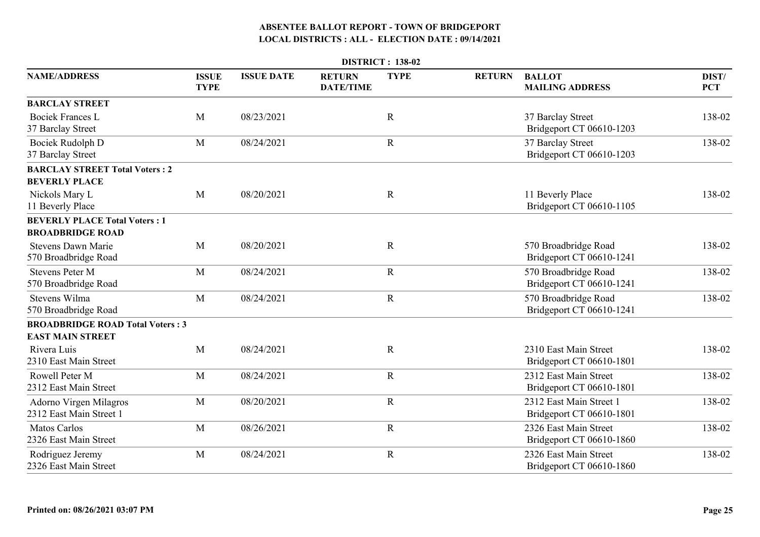| <b>DISTRICT: 138-02</b>                                         |                             |                   |                                   |             |               |                                                     |                     |  |
|-----------------------------------------------------------------|-----------------------------|-------------------|-----------------------------------|-------------|---------------|-----------------------------------------------------|---------------------|--|
| <b>NAME/ADDRESS</b>                                             | <b>ISSUE</b><br><b>TYPE</b> | <b>ISSUE DATE</b> | <b>RETURN</b><br><b>DATE/TIME</b> | <b>TYPE</b> | <b>RETURN</b> | <b>BALLOT</b><br><b>MAILING ADDRESS</b>             | DIST/<br><b>PCT</b> |  |
| <b>BARCLAY STREET</b>                                           |                             |                   |                                   |             |               |                                                     |                     |  |
| <b>Bociek Frances L</b><br>37 Barclay Street                    | M                           | 08/23/2021        |                                   | $\mathbf R$ |               | 37 Barclay Street<br>Bridgeport CT 06610-1203       | 138-02              |  |
| Bociek Rudolph D<br>37 Barclay Street                           | M                           | 08/24/2021        |                                   | $\mathbf R$ |               | 37 Barclay Street<br>Bridgeport CT 06610-1203       | 138-02              |  |
| <b>BARCLAY STREET Total Voters: 2</b><br><b>BEVERLY PLACE</b>   |                             |                   |                                   |             |               |                                                     |                     |  |
| Nickols Mary L<br>11 Beverly Place                              | M                           | 08/20/2021        |                                   | $\mathbf R$ |               | 11 Beverly Place<br>Bridgeport CT 06610-1105        | 138-02              |  |
| <b>BEVERLY PLACE Total Voters: 1</b><br><b>BROADBRIDGE ROAD</b> |                             |                   |                                   |             |               |                                                     |                     |  |
| <b>Stevens Dawn Marie</b><br>570 Broadbridge Road               | M                           | 08/20/2021        |                                   | $\mathbf R$ |               | 570 Broadbridge Road<br>Bridgeport CT 06610-1241    | 138-02              |  |
| <b>Stevens Peter M</b><br>570 Broadbridge Road                  | M                           | 08/24/2021        |                                   | $\mathbf R$ |               | 570 Broadbridge Road<br>Bridgeport CT 06610-1241    | 138-02              |  |
| Stevens Wilma<br>570 Broadbridge Road                           | M                           | 08/24/2021        |                                   | $\mathbf R$ |               | 570 Broadbridge Road<br>Bridgeport CT 06610-1241    | 138-02              |  |
| <b>BROADBRIDGE ROAD Total Voters: 3</b>                         |                             |                   |                                   |             |               |                                                     |                     |  |
| <b>EAST MAIN STREET</b>                                         |                             |                   |                                   |             |               |                                                     |                     |  |
| Rivera Luis<br>2310 East Main Street                            | M                           | 08/24/2021        |                                   | $\mathbf R$ |               | 2310 East Main Street<br>Bridgeport CT 06610-1801   | 138-02              |  |
| Rowell Peter M<br>2312 East Main Street                         | M                           | 08/24/2021        |                                   | $\mathbf R$ |               | 2312 East Main Street<br>Bridgeport CT 06610-1801   | 138-02              |  |
| Adorno Virgen Milagros<br>2312 East Main Street 1               | M                           | 08/20/2021        |                                   | $\mathbf R$ |               | 2312 East Main Street 1<br>Bridgeport CT 06610-1801 | 138-02              |  |
| <b>Matos Carlos</b><br>2326 East Main Street                    | M                           | 08/26/2021        |                                   | $\mathbf R$ |               | 2326 East Main Street<br>Bridgeport CT 06610-1860   | 138-02              |  |
| Rodriguez Jeremy<br>2326 East Main Street                       | M                           | 08/24/2021        |                                   | $\mathbf R$ |               | 2326 East Main Street<br>Bridgeport CT 06610-1860   | 138-02              |  |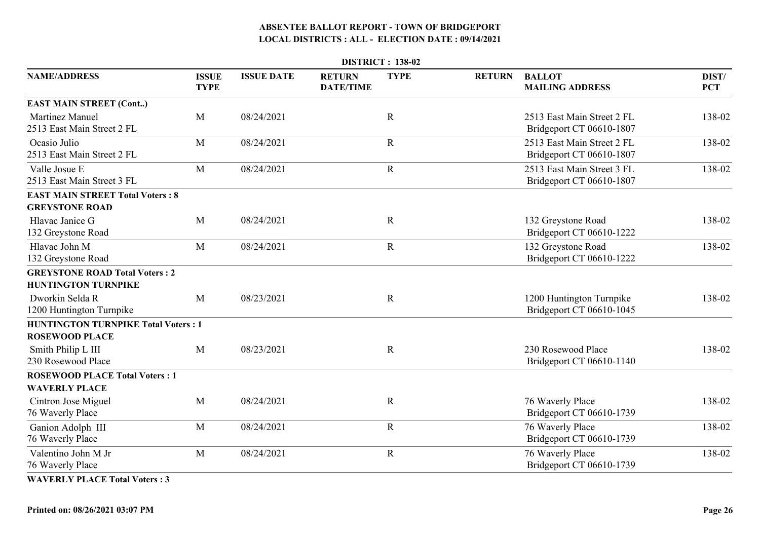|                                                                     |                             |                   |                                   | <b>DISTRICT: 138-02</b> |               |                                                        |                     |
|---------------------------------------------------------------------|-----------------------------|-------------------|-----------------------------------|-------------------------|---------------|--------------------------------------------------------|---------------------|
| <b>NAME/ADDRESS</b>                                                 | <b>ISSUE</b><br><b>TYPE</b> | <b>ISSUE DATE</b> | <b>RETURN</b><br><b>DATE/TIME</b> | <b>TYPE</b>             | <b>RETURN</b> | <b>BALLOT</b><br><b>MAILING ADDRESS</b>                | DIST/<br><b>PCT</b> |
| <b>EAST MAIN STREET (Cont)</b>                                      |                             |                   |                                   |                         |               |                                                        |                     |
| <b>Martinez Manuel</b><br>2513 East Main Street 2 FL                | M                           | 08/24/2021        |                                   | $\mathbf R$             |               | 2513 East Main Street 2 FL<br>Bridgeport CT 06610-1807 | 138-02              |
| Ocasio Julio<br>2513 East Main Street 2 FL                          | M                           | 08/24/2021        |                                   | $\mathbf R$             |               | 2513 East Main Street 2 FL<br>Bridgeport CT 06610-1807 | 138-02              |
| Valle Josue E<br>2513 East Main Street 3 FL                         | M                           | 08/24/2021        |                                   | $\mathbf R$             |               | 2513 East Main Street 3 FL<br>Bridgeport CT 06610-1807 | 138-02              |
| <b>EAST MAIN STREET Total Voters: 8</b>                             |                             |                   |                                   |                         |               |                                                        |                     |
| <b>GREYSTONE ROAD</b>                                               |                             |                   |                                   |                         |               |                                                        |                     |
| Hlavac Janice G<br>132 Greystone Road                               | M                           | 08/24/2021        |                                   | $\mathbf R$             |               | 132 Greystone Road<br>Bridgeport CT 06610-1222         | 138-02              |
| Hlavac John M<br>132 Greystone Road                                 | M                           | 08/24/2021        |                                   | $\mathbf R$             |               | 132 Greystone Road<br>Bridgeport CT 06610-1222         | 138-02              |
| <b>GREYSTONE ROAD Total Voters: 2</b><br><b>HUNTINGTON TURNPIKE</b> |                             |                   |                                   |                         |               |                                                        |                     |
| Dworkin Selda R<br>1200 Huntington Turnpike                         | M                           | 08/23/2021        |                                   | $\mathbf R$             |               | 1200 Huntington Turnpike<br>Bridgeport CT 06610-1045   | 138-02              |
| <b>HUNTINGTON TURNPIKE Total Voters: 1</b>                          |                             |                   |                                   |                         |               |                                                        |                     |
| <b>ROSEWOOD PLACE</b>                                               |                             |                   |                                   |                         |               |                                                        |                     |
| Smith Philip L III<br>230 Rosewood Place                            | $\mathbf{M}$                | 08/23/2021        |                                   | $\mathbf R$             |               | 230 Rosewood Place<br>Bridgeport CT 06610-1140         | 138-02              |
| <b>ROSEWOOD PLACE Total Voters: 1</b><br><b>WAVERLY PLACE</b>       |                             |                   |                                   |                         |               |                                                        |                     |
| Cintron Jose Miguel<br>76 Waverly Place                             | M                           | 08/24/2021        |                                   | $\mathbf R$             |               | 76 Waverly Place<br>Bridgeport CT 06610-1739           | 138-02              |
| Ganion Adolph III<br>76 Waverly Place                               | M                           | 08/24/2021        |                                   | $\mathbf R$             |               | 76 Waverly Place<br>Bridgeport CT 06610-1739           | 138-02              |
| Valentino John M Jr<br>76 Waverly Place                             | M                           | 08/24/2021        |                                   | $\mathbf R$             |               | 76 Waverly Place<br>Bridgeport CT 06610-1739           | 138-02              |
|                                                                     |                             |                   |                                   |                         |               |                                                        |                     |

**WAVERLY PLACE Total Voters : 3**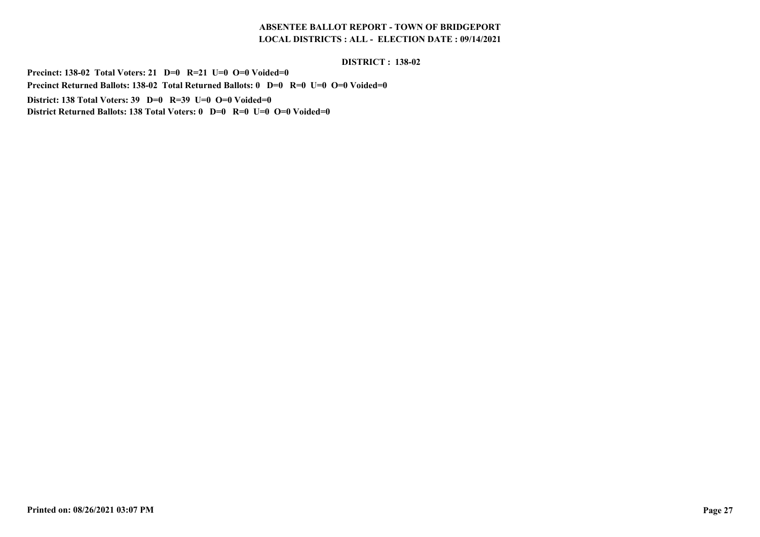#### **DISTRICT : 138-02**

**Precinct: 138-02 Total Voters: 21 D=0 R=21 U=0 O=0 Voided=0 Precinct Returned Ballots: 138-02 Total Returned Ballots: 0 D=0 R=0 U=0 O=0 Voided=0District: 138 Total Voters: 39 D=0 R=39 U=0 O=0 Voided=0District Returned Ballots: 138 Total Voters: 0 D=0 R=0 U=0 O=0 Voided=0**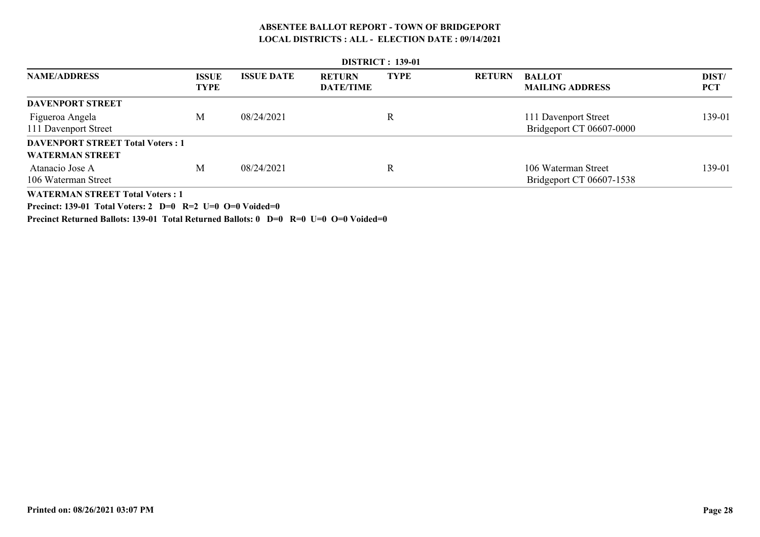| <b>DISTRICT: 139-01</b>                 |                             |                   |                                   |             |               |                                         |                     |  |
|-----------------------------------------|-----------------------------|-------------------|-----------------------------------|-------------|---------------|-----------------------------------------|---------------------|--|
| <b>NAME/ADDRESS</b>                     | <b>ISSUE</b><br><b>TYPE</b> | <b>ISSUE DATE</b> | <b>RETURN</b><br><b>DATE/TIME</b> | <b>TYPE</b> | <b>RETURN</b> | <b>BALLOT</b><br><b>MAILING ADDRESS</b> | DIST/<br><b>PCT</b> |  |
| <b>DAVENPORT STREET</b>                 |                             |                   |                                   |             |               |                                         |                     |  |
| Figueroa Angela                         | M                           | 08/24/2021        |                                   | R           |               | 111 Davenport Street                    | 139-01              |  |
| 111 Davenport Street                    |                             |                   |                                   |             |               | Bridgeport CT 06607-0000                |                     |  |
| <b>DAVENPORT STREET Total Voters: 1</b> |                             |                   |                                   |             |               |                                         |                     |  |
| <b>WATERMAN STREET</b>                  |                             |                   |                                   |             |               |                                         |                     |  |
| Atanacio Jose A                         | М                           | 08/24/2021        |                                   | R           |               | 106 Waterman Street                     | 139-01              |  |
| 106 Waterman Street                     |                             |                   |                                   |             |               | Bridgeport CT 06607-1538                |                     |  |
| <b>WATERMAN STREET Total Voters: 1</b>  |                             |                   |                                   |             |               |                                         |                     |  |

**Precinct: 139-01 Total Voters: 2 D=0 R=2 U=0 O=0 Voided=0**

**Precinct Returned Ballots: 139-01 Total Returned Ballots: 0 D=0 R=0 U=0 O=0 Voided=0**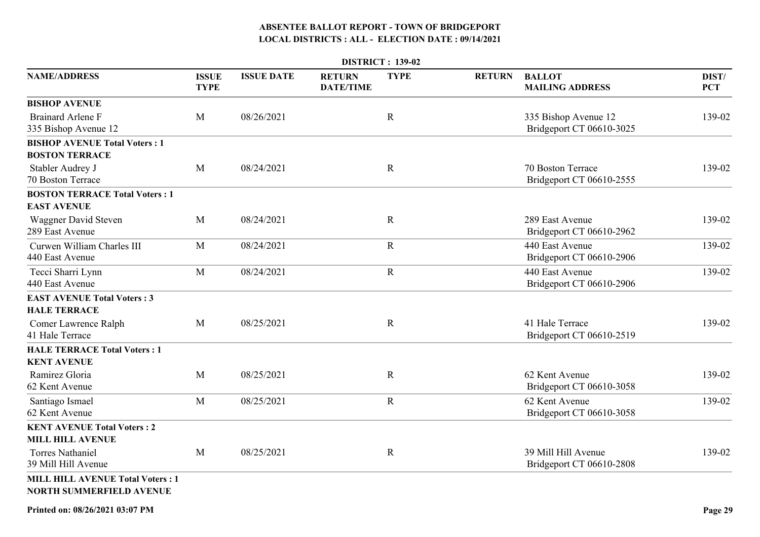|                                                                            |                             |                   | <b>DISTRICT: 139-02</b>           |             |               |                                                  |                     |  |  |  |  |
|----------------------------------------------------------------------------|-----------------------------|-------------------|-----------------------------------|-------------|---------------|--------------------------------------------------|---------------------|--|--|--|--|
| <b>NAME/ADDRESS</b>                                                        | <b>ISSUE</b><br><b>TYPE</b> | <b>ISSUE DATE</b> | <b>RETURN</b><br><b>DATE/TIME</b> | <b>TYPE</b> | <b>RETURN</b> | <b>BALLOT</b><br><b>MAILING ADDRESS</b>          | DIST/<br><b>PCT</b> |  |  |  |  |
| <b>BISHOP AVENUE</b>                                                       |                             |                   |                                   |             |               |                                                  |                     |  |  |  |  |
| <b>Brainard Arlene F</b><br>335 Bishop Avenue 12                           | M                           | 08/26/2021        |                                   | $\mathbf R$ |               | 335 Bishop Avenue 12<br>Bridgeport CT 06610-3025 | 139-02              |  |  |  |  |
| <b>BISHOP AVENUE Total Voters: 1</b><br><b>BOSTON TERRACE</b>              |                             |                   |                                   |             |               |                                                  |                     |  |  |  |  |
| Stabler Audrey J<br>70 Boston Terrace                                      | M                           | 08/24/2021        |                                   | $\mathbf R$ |               | 70 Boston Terrace<br>Bridgeport CT 06610-2555    | 139-02              |  |  |  |  |
| <b>BOSTON TERRACE Total Voters: 1</b><br><b>EAST AVENUE</b>                |                             |                   |                                   |             |               |                                                  |                     |  |  |  |  |
| Waggner David Steven<br>289 East Avenue                                    | M                           | 08/24/2021        |                                   | $\mathbf R$ |               | 289 East Avenue<br>Bridgeport CT 06610-2962      | 139-02              |  |  |  |  |
| Curwen William Charles III<br>440 East Avenue                              | M                           | 08/24/2021        |                                   | $\mathbf R$ |               | 440 East Avenue<br>Bridgeport CT 06610-2906      | 139-02              |  |  |  |  |
| Tecci Sharri Lynn<br>440 East Avenue                                       | M                           | 08/24/2021        |                                   | $\mathbf R$ |               | 440 East Avenue<br>Bridgeport CT 06610-2906      | 139-02              |  |  |  |  |
| <b>EAST AVENUE Total Voters: 3</b><br><b>HALE TERRACE</b>                  |                             |                   |                                   |             |               |                                                  |                     |  |  |  |  |
| Comer Lawrence Ralph<br>41 Hale Terrace                                    | M                           | 08/25/2021        |                                   | $\mathbf R$ |               | 41 Hale Terrace<br>Bridgeport CT 06610-2519      | 139-02              |  |  |  |  |
| <b>HALE TERRACE Total Voters: 1</b><br><b>KENT AVENUE</b>                  |                             |                   |                                   |             |               |                                                  |                     |  |  |  |  |
| Ramirez Gloria<br>62 Kent Avenue                                           | M                           | 08/25/2021        |                                   | $\mathbf R$ |               | 62 Kent Avenue<br>Bridgeport CT 06610-3058       | 139-02              |  |  |  |  |
| Santiago Ismael<br>62 Kent Avenue                                          | M                           | 08/25/2021        |                                   | $\mathbf R$ |               | 62 Kent Avenue<br>Bridgeport CT 06610-3058       | 139-02              |  |  |  |  |
| <b>KENT AVENUE Total Voters: 2</b><br><b>MILL HILL AVENUE</b>              |                             |                   |                                   |             |               |                                                  |                     |  |  |  |  |
| <b>Torres Nathaniel</b><br>39 Mill Hill Avenue                             | M                           | 08/25/2021        |                                   | $\mathbf R$ |               | 39 Mill Hill Avenue<br>Bridgeport CT 06610-2808  | 139-02              |  |  |  |  |
| <b>MILL HILL AVENUE Total Voters: 1</b><br><b>NORTH SUMMERFIELD AVENUE</b> |                             |                   |                                   |             |               |                                                  |                     |  |  |  |  |